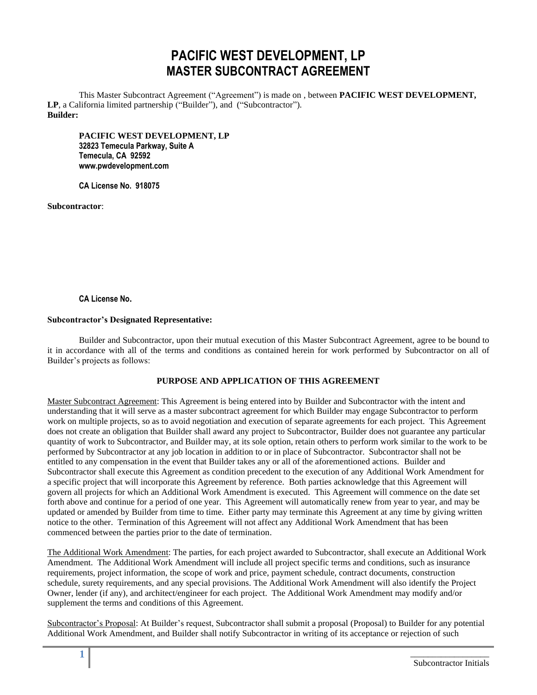# **PACIFIC WEST DEVELOPMENT, LP MASTER SUBCONTRACT AGREEMENT**

This Master Subcontract Agreement ("Agreement") is made on , between **PACIFIC WEST DEVELOPMENT, LP**, a California limited partnership ("Builder"), and ("Subcontractor"). **Builder:** 

**PACIFIC WEST DEVELOPMENT, LP 32823 Temecula Parkway, Suite A Temecula, CA 92592 www.pwdevelopment.com**

**CA License No. 918075**

**Subcontractor**:

## **CA License No.**

#### **Subcontractor's Designated Representative:**

Builder and Subcontractor, upon their mutual execution of this Master Subcontract Agreement, agree to be bound to it in accordance with all of the terms and conditions as contained herein for work performed by Subcontractor on all of Builder's projects as follows:

## **PURPOSE AND APPLICATION OF THIS AGREEMENT**

Master Subcontract Agreement: This Agreement is being entered into by Builder and Subcontractor with the intent and understanding that it will serve as a master subcontract agreement for which Builder may engage Subcontractor to perform work on multiple projects, so as to avoid negotiation and execution of separate agreements for each project. This Agreement does not create an obligation that Builder shall award any project to Subcontractor, Builder does not guarantee any particular quantity of work to Subcontractor, and Builder may, at its sole option, retain others to perform work similar to the work to be performed by Subcontractor at any job location in addition to or in place of Subcontractor. Subcontractor shall not be entitled to any compensation in the event that Builder takes any or all of the aforementioned actions. Builder and Subcontractor shall execute this Agreement as condition precedent to the execution of any Additional Work Amendment for a specific project that will incorporate this Agreement by reference. Both parties acknowledge that this Agreement will govern all projects for which an Additional Work Amendment is executed. This Agreement will commence on the date set forth above and continue for a period of one year. This Agreement will automatically renew from year to year, and may be updated or amended by Builder from time to time. Either party may terminate this Agreement at any time by giving written notice to the other. Termination of this Agreement will not affect any Additional Work Amendment that has been commenced between the parties prior to the date of termination.

The Additional Work Amendment: The parties, for each project awarded to Subcontractor, shall execute an Additional Work Amendment. The Additional Work Amendment will include all project specific terms and conditions, such as insurance requirements, project information, the scope of work and price, payment schedule, contract documents, construction schedule, surety requirements, and any special provisions. The Additional Work Amendment will also identify the Project Owner, lender (if any), and architect/engineer for each project. The Additional Work Amendment may modify and/or supplement the terms and conditions of this Agreement.

Subcontractor's Proposal: At Builder's request, Subcontractor shall submit a proposal (Proposal) to Builder for any potential Additional Work Amendment, and Builder shall notify Subcontractor in writing of its acceptance or rejection of such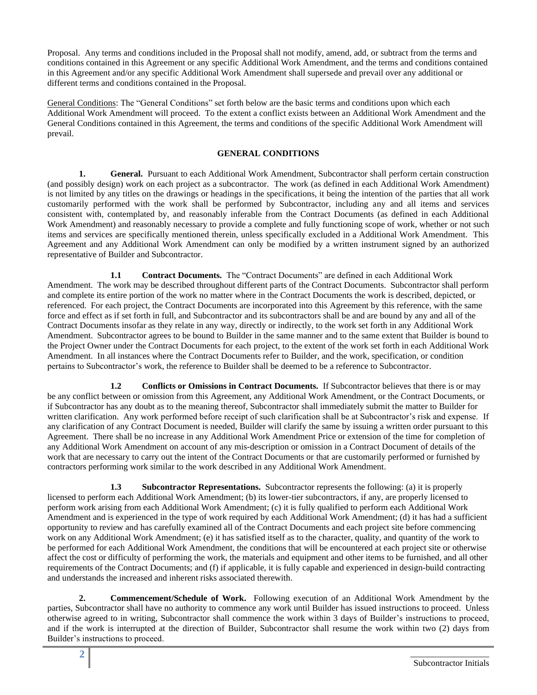Proposal. Any terms and conditions included in the Proposal shall not modify, amend, add, or subtract from the terms and conditions contained in this Agreement or any specific Additional Work Amendment, and the terms and conditions contained in this Agreement and/or any specific Additional Work Amendment shall supersede and prevail over any additional or different terms and conditions contained in the Proposal.

General Conditions: The "General Conditions" set forth below are the basic terms and conditions upon which each Additional Work Amendment will proceed. To the extent a conflict exists between an Additional Work Amendment and the General Conditions contained in this Agreement, the terms and conditions of the specific Additional Work Amendment will prevail.

# **GENERAL CONDITIONS**

**1. General.** Pursuant to each Additional Work Amendment, Subcontractor shall perform certain construction (and possibly design) work on each project as a subcontractor. The work (as defined in each Additional Work Amendment) is not limited by any titles on the drawings or headings in the specifications, it being the intention of the parties that all work customarily performed with the work shall be performed by Subcontractor, including any and all items and services consistent with, contemplated by, and reasonably inferable from the Contract Documents (as defined in each Additional Work Amendment) and reasonably necessary to provide a complete and fully functioning scope of work, whether or not such items and services are specifically mentioned therein, unless specifically excluded in a Additional Work Amendment. This Agreement and any Additional Work Amendment can only be modified by a written instrument signed by an authorized representative of Builder and Subcontractor.

**1.1 Contract Documents.** The "Contract Documents" are defined in each Additional Work Amendment. The work may be described throughout different parts of the Contract Documents. Subcontractor shall perform and complete its entire portion of the work no matter where in the Contract Documents the work is described, depicted, or referenced. For each project, the Contract Documents are incorporated into this Agreement by this reference, with the same force and effect as if set forth in full, and Subcontractor and its subcontractors shall be and are bound by any and all of the Contract Documents insofar as they relate in any way, directly or indirectly, to the work set forth in any Additional Work Amendment. Subcontractor agrees to be bound to Builder in the same manner and to the same extent that Builder is bound to the Project Owner under the Contract Documents for each project, to the extent of the work set forth in each Additional Work Amendment. In all instances where the Contract Documents refer to Builder, and the work, specification, or condition pertains to Subcontractor's work, the reference to Builder shall be deemed to be a reference to Subcontractor.

**1.2 Conflicts or Omissions in Contract Documents.** If Subcontractor believes that there is or may be any conflict between or omission from this Agreement, any Additional Work Amendment, or the Contract Documents, or if Subcontractor has any doubt as to the meaning thereof, Subcontractor shall immediately submit the matter to Builder for written clarification. Any work performed before receipt of such clarification shall be at Subcontractor's risk and expense. If any clarification of any Contract Document is needed, Builder will clarify the same by issuing a written order pursuant to this Agreement. There shall be no increase in any Additional Work Amendment Price or extension of the time for completion of any Additional Work Amendment on account of any mis-description or omission in a Contract Document of details of the work that are necessary to carry out the intent of the Contract Documents or that are customarily performed or furnished by contractors performing work similar to the work described in any Additional Work Amendment.

**1.3 Subcontractor Representations.** Subcontractor represents the following: (a) it is properly licensed to perform each Additional Work Amendment; (b) its lower-tier subcontractors, if any, are properly licensed to perform work arising from each Additional Work Amendment; (c) it is fully qualified to perform each Additional Work Amendment and is experienced in the type of work required by each Additional Work Amendment; (d) it has had a sufficient opportunity to review and has carefully examined all of the Contract Documents and each project site before commencing work on any Additional Work Amendment; (e) it has satisfied itself as to the character, quality, and quantity of the work to be performed for each Additional Work Amendment, the conditions that will be encountered at each project site or otherwise affect the cost or difficulty of performing the work, the materials and equipment and other items to be furnished, and all other requirements of the Contract Documents; and (f) if applicable, it is fully capable and experienced in design-build contracting and understands the increased and inherent risks associated therewith.

**2. Commencement/Schedule of Work.** Following execution of an Additional Work Amendment by the parties, Subcontractor shall have no authority to commence any work until Builder has issued instructions to proceed. Unless otherwise agreed to in writing, Subcontractor shall commence the work within 3 days of Builder's instructions to proceed, and if the work is interrupted at the direction of Builder, Subcontractor shall resume the work within two (2) days from Builder's instructions to proceed.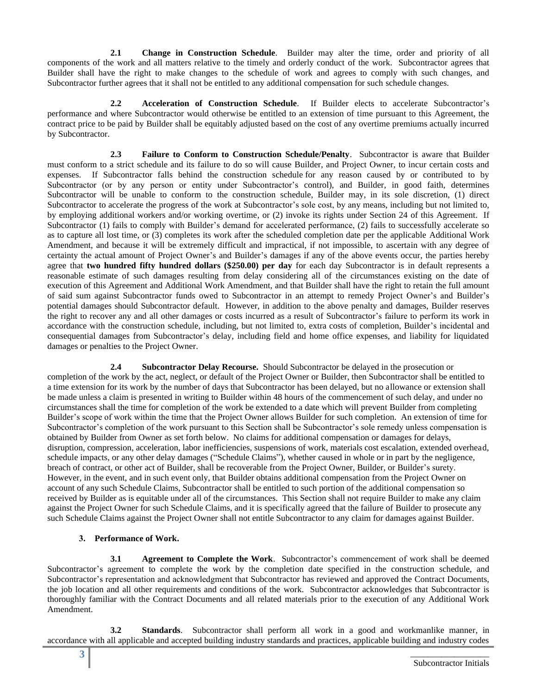**2.1 Change in Construction Schedule**. Builder may alter the time, order and priority of all components of the work and all matters relative to the timely and orderly conduct of the work. Subcontractor agrees that Builder shall have the right to make changes to the schedule of work and agrees to comply with such changes, and Subcontractor further agrees that it shall not be entitled to any additional compensation for such schedule changes.

**2.2 Acceleration of Construction Schedule**.If Builder elects to accelerate Subcontractor's performance and where Subcontractor would otherwise be entitled to an extension of time pursuant to this Agreement, the contract price to be paid by Builder shall be equitably adjusted based on the cost of any overtime premiums actually incurred by Subcontractor.

**2.3 Failure to Conform to Construction Schedule/Penalty**. Subcontractor is aware that Builder must conform to a strict schedule and its failure to do so will cause Builder, and Project Owner, to incur certain costs and expenses. If Subcontractor falls behind the construction schedule for any reason caused by or contributed to by Subcontractor (or by any person or entity under Subcontractor's control), and Builder, in good faith, determines Subcontractor will be unable to conform to the construction schedule, Builder may, in its sole discretion, (1) direct Subcontractor to accelerate the progress of the work at Subcontractor's sole cost, by any means, including but not limited to, by employing additional workers and/or working overtime, or (2) invoke its rights under Section 24 of this Agreement. If Subcontractor (1) fails to comply with Builder's demand for accelerated performance, (2) fails to successfully accelerate so as to capture all lost time, or (3) completes its work after the scheduled completion date per the applicable Additional Work Amendment, and because it will be extremely difficult and impractical, if not impossible, to ascertain with any degree of certainty the actual amount of Project Owner's and Builder's damages if any of the above events occur, the parties hereby agree that **two hundred fifty hundred dollars (\$250.00) per day** for each day Subcontractor is in default represents a reasonable estimate of such damages resulting from delay considering all of the circumstances existing on the date of execution of this Agreement and Additional Work Amendment, and that Builder shall have the right to retain the full amount of said sum against Subcontractor funds owed to Subcontractor in an attempt to remedy Project Owner's and Builder's potential damages should Subcontractor default. However, in addition to the above penalty and damages, Builder reserves the right to recover any and all other damages or costs incurred as a result of Subcontractor's failure to perform its work in accordance with the construction schedule, including, but not limited to, extra costs of completion, Builder's incidental and consequential damages from Subcontractor's delay, including field and home office expenses, and liability for liquidated damages or penalties to the Project Owner.

**2.4 Subcontractor Delay Recourse.** Should Subcontractor be delayed in the prosecution or completion of the work by the act, neglect, or default of the Project Owner or Builder, then Subcontractor shall be entitled to a time extension for its work by the number of days that Subcontractor has been delayed, but no allowance or extension shall be made unless a claim is presented in writing to Builder within 48 hours of the commencement of such delay, and under no circumstances shall the time for completion of the work be extended to a date which will prevent Builder from completing Builder's scope of work within the time that the Project Owner allows Builder for such completion. An extension of time for Subcontractor's completion of the work pursuant to this Section shall be Subcontractor's sole remedy unless compensation is obtained by Builder from Owner as set forth below. No claims for additional compensation or damages for delays, disruption, compression, acceleration, labor inefficiencies, suspensions of work, materials cost escalation, extended overhead, schedule impacts, or any other delay damages ("Schedule Claims"), whether caused in whole or in part by the negligence, breach of contract, or other act of Builder, shall be recoverable from the Project Owner, Builder, or Builder's surety. However, in the event, and in such event only, that Builder obtains additional compensation from the Project Owner on account of any such Schedule Claims, Subcontractor shall be entitled to such portion of the additional compensation so received by Builder as is equitable under all of the circumstances. This Section shall not require Builder to make any claim against the Project Owner for such Schedule Claims, and it is specifically agreed that the failure of Builder to prosecute any such Schedule Claims against the Project Owner shall not entitle Subcontractor to any claim for damages against Builder.

## **3. Performance of Work.**

**3.1 Agreement to Complete the Work**. Subcontractor's commencement of work shall be deemed Subcontractor's agreement to complete the work by the completion date specified in the construction schedule, and Subcontractor's representation and acknowledgment that Subcontractor has reviewed and approved the Contract Documents, the job location and all other requirements and conditions of the work. Subcontractor acknowledges that Subcontractor is thoroughly familiar with the Contract Documents and all related materials prior to the execution of any Additional Work Amendment.

**3.2 Standards**. Subcontractor shall perform all work in a good and workmanlike manner, in accordance with all applicable and accepted building industry standards and practices, applicable building and industry codes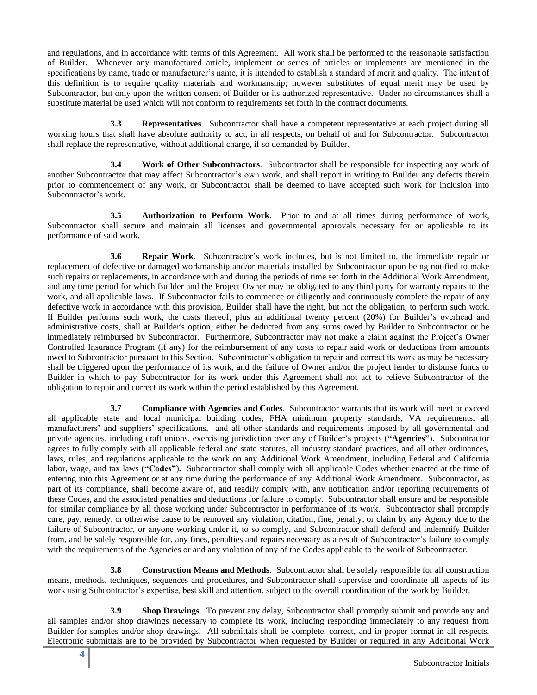and regulations, and in accordance with terms of this Agreement. All work shall be performed to the reasonable satisfaction of Builder. Whenever any manufactured article, implement or series of articles or implements are mentioned in the specifications by name, trade or manufacturer's name, it is intended to establish a standard of merit and quality. The intent of this definition is to require quality materials and workmanship; however substitutes of equal merit may be used by Subcontractor, but only upon the written consent of Builder or its authorized representative. Under no circumstances shall a substitute material be used which will not conform to requirements set forth in the contract documents.

**3.3 Representatives**. Subcontractor shall have a competent representative at each project during all working hours that shall have absolute authority to act, in all respects, on behalf of and for Subcontractor. Subcontractor shall replace the representative, without additional charge, if so demanded by Builder.

**3.4 Work of Other Subcontractors**. Subcontractor shall be responsible for inspecting any work of another Subcontractor that may affect Subcontractor's own work, and shall report in writing to Builder any defects therein prior to commencement of any work, or Subcontractor shall be deemed to have accepted such work for inclusion into Subcontractor's work.

**3.5 Authorization to Perform Work**. Prior to and at all times during performance of work, Subcontractor shall secure and maintain all licenses and governmental approvals necessary for or applicable to its performance of said work.

**3.6 Repair Work**. Subcontractor's work includes, but is not limited to, the immediate repair or replacement of defective or damaged workmanship and/or materials installed by Subcontractor upon being notified to make such repairs or replacements, in accordance with and during the periods of time set forth in the Additional Work Amendment, and any time period for which Builder and the Project Owner may be obligated to any third party for warranty repairs to the work, and all applicable laws. If Subcontractor fails to commence or diligently and continuously complete the repair of any defective work in accordance with this provision, Builder shall have the right, but not the obligation, to perform such work. If Builder performs such work, the costs thereof, plus an additional twenty percent (20%) for Builder's overhead and administrative costs, shall at Builder's option, either be deducted from any sums owed by Builder to Subcontractor or be immediately reimbursed by Subcontractor. Furthermore, Subcontractor may not make a claim against the Project's Owner Controlled Insurance Program (if any) for the reimbursement of any costs to repair said work or deductions from amounts owed to Subcontractor pursuant to this Section. Subcontractor's obligation to repair and correct its work as may be necessary shall be triggered upon the performance of its work, and the failure of Owner and/or the project lender to disburse funds to Builder in which to pay Subcontractor for its work under this Agreement shall not act to relieve Subcontractor of the obligation to repair and correct its work within the period established by this Agreement.

**3.7 Compliance with Agencies and Codes**. Subcontractor warrants that its work will meet or exceed all applicable state and local municipal building codes, FHA minimum property standards, VA requirements, all manufacturers' and suppliers' specifications, and all other standards and requirements imposed by all governmental and private agencies, including craft unions, exercising jurisdiction over any of Builder's projects (**"Agencies"**). Subcontractor agrees to fully comply with all applicable federal and state statutes, all industry standard practices, and all other ordinances, laws, rules, and regulations applicable to the work on any Additional Work Amendment, including Federal and California labor, wage, and tax laws (**"Codes"**)**.** Subcontractor shall comply with all applicable Codes whether enacted at the time of entering into this Agreement or at any time during the performance of any Additional Work Amendment. Subcontractor, as part of its compliance, shall become aware of, and readily comply with, any notification and/or reporting requirements of these Codes, and the associated penalties and deductions for failure to comply. Subcontractor shall ensure and be responsible for similar compliance by all those working under Subcontractor in performance of its work. Subcontractor shall promptly cure, pay, remedy, or otherwise cause to be removed any violation, citation, fine, penalty, or claim by any Agency due to the failure of Subcontractor, or anyone working under it, to so comply, and Subcontractor shall defend and indemnify Builder from, and be solely responsible for, any fines, penalties and repairs necessary as a result of Subcontractor's failure to comply with the requirements of the Agencies or and any violation of any of the Codes applicable to the work of Subcontractor.

**3.8 Construction Means and Methods**. Subcontractor shall be solely responsible for all construction means, methods, techniques, sequences and procedures, and Subcontractor shall supervise and coordinate all aspects of its work using Subcontractor's expertise, best skill and attention, subject to the overall coordination of the work by Builder.

**3.9 Shop Drawings**. To prevent any delay, Subcontractor shall promptly submit and provide any and all samples and/or shop drawings necessary to complete its work, including responding immediately to any request from Builder for samples and/or shop drawings. All submittals shall be complete, correct, and in proper format in all respects. Electronic submittals are to be provided by Subcontractor when requested by Builder or required in any Additional Work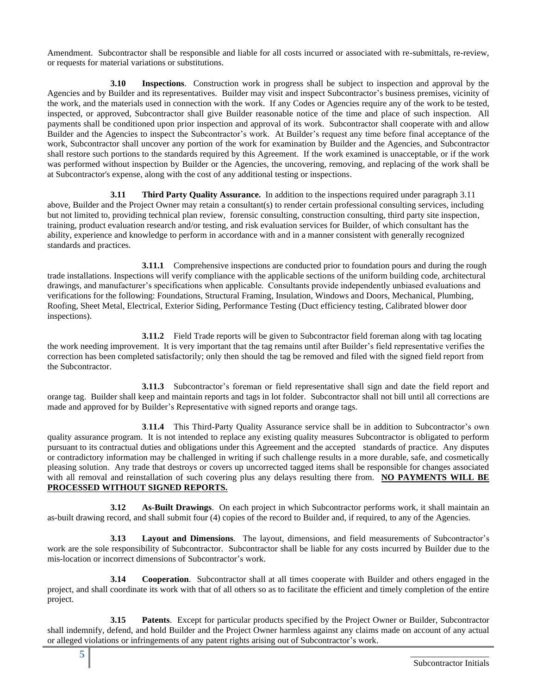Amendment. Subcontractor shall be responsible and liable for all costs incurred or associated with re-submittals, re-review, or requests for material variations or substitutions.

**3.10 Inspections**. Construction work in progress shall be subject to inspection and approval by the Agencies and by Builder and its representatives. Builder may visit and inspect Subcontractor's business premises, vicinity of the work, and the materials used in connection with the work. If any Codes or Agencies require any of the work to be tested, inspected, or approved, Subcontractor shall give Builder reasonable notice of the time and place of such inspection. All payments shall be conditioned upon prior inspection and approval of its work. Subcontractor shall cooperate with and allow Builder and the Agencies to inspect the Subcontractor's work. At Builder's request any time before final acceptance of the work, Subcontractor shall uncover any portion of the work for examination by Builder and the Agencies, and Subcontractor shall restore such portions to the standards required by this Agreement. If the work examined is unacceptable, or if the work was performed without inspection by Builder or the Agencies, the uncovering, removing, and replacing of the work shall be at Subcontractor's expense, along with the cost of any additional testing or inspections.

**3.11 Third Party Quality Assurance.** In addition to the inspections required under paragraph 3.11 above, Builder and the Project Owner may retain a consultant(s) to render certain professional consulting services, including but not limited to, providing technical plan review, forensic consulting, construction consulting, third party site inspection, training, product evaluation research and/or testing, and risk evaluation services for Builder, of which consultant has the ability, experience and knowledge to perform in accordance with and in a manner consistent with generally recognized standards and practices.

**3.11.1** Comprehensive inspections are conducted prior to foundation pours and during the rough trade installations. Inspections will verify compliance with the applicable sections of the uniform building code, architectural drawings, and manufacturer's specifications when applicable. Consultants provide independently unbiased evaluations and verifications for the following: Foundations, Structural Framing, Insulation, Windows and Doors, Mechanical, Plumbing, Roofing, Sheet Metal, Electrical, Exterior Siding, Performance Testing (Duct efficiency testing, Calibrated blower door inspections).

**3.11.2** Field Trade reports will be given to Subcontractor field foreman along with tag locating the work needing improvement. It is very important that the tag remains until after Builder's field representative verifies the correction has been completed satisfactorily; only then should the tag be removed and filed with the signed field report from the Subcontractor.

**3.11.3** Subcontractor's foreman or field representative shall sign and date the field report and orange tag. Builder shall keep and maintain reports and tags in lot folder. Subcontractor shall not bill until all corrections are made and approved for by Builder's Representative with signed reports and orange tags.

**3**.**11.4** This Third-Party Quality Assurance service shall be in addition to Subcontractor's own quality assurance program. It is not intended to replace any existing quality measures Subcontractor is obligated to perform pursuant to its contractual duties and obligations under this Agreement and the accepted standards of practice. Any disputes or contradictory information may be challenged in writing if such challenge results in a more durable, safe, and cosmetically pleasing solution. Any trade that destroys or covers up uncorrected tagged items shall be responsible for changes associated with all removal and reinstallation of such covering plus any delays resulting there from. **NO PAYMENTS WILL BE PROCESSED WITHOUT SIGNED REPORTS.**

**3.12 As-Built Drawings**. On each project in which Subcontractor performs work, it shall maintain an as-built drawing record, and shall submit four (4) copies of the record to Builder and, if required, to any of the Agencies.

**3.13 Layout and Dimensions**. The layout, dimensions, and field measurements of Subcontractor's work are the sole responsibility of Subcontractor. Subcontractor shall be liable for any costs incurred by Builder due to the mis-location or incorrect dimensions of Subcontractor's work.

**3.14 Cooperation**. Subcontractor shall at all times cooperate with Builder and others engaged in the project, and shall coordinate its work with that of all others so as to facilitate the efficient and timely completion of the entire project.

**3.15 Patents**. Except for particular products specified by the Project Owner or Builder, Subcontractor shall indemnify, defend, and hold Builder and the Project Owner harmless against any claims made on account of any actual or alleged violations or infringements of any patent rights arising out of Subcontractor's work.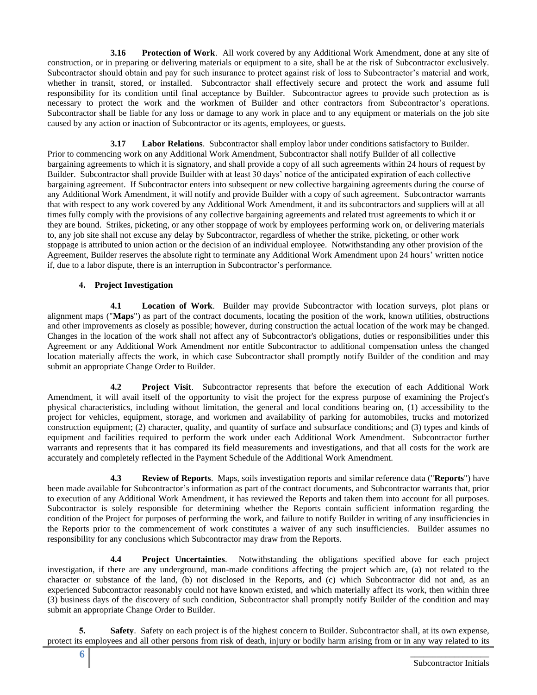**3.16 Protection of Work**. All work covered by any Additional Work Amendment, done at any site of construction, or in preparing or delivering materials or equipment to a site, shall be at the risk of Subcontractor exclusively. Subcontractor should obtain and pay for such insurance to protect against risk of loss to Subcontractor's material and work, whether in transit, stored, or installed. Subcontractor shall effectively secure and protect the work and assume full responsibility for its condition until final acceptance by Builder. Subcontractor agrees to provide such protection as is necessary to protect the work and the workmen of Builder and other contractors from Subcontractor's operations. Subcontractor shall be liable for any loss or damage to any work in place and to any equipment or materials on the job site caused by any action or inaction of Subcontractor or its agents, employees, or guests.

**3.17 Labor Relations**. Subcontractor shall employ labor under conditions satisfactory to Builder. Prior to commencing work on any Additional Work Amendment, Subcontractor shall notify Builder of all collective bargaining agreements to which it is signatory, and shall provide a copy of all such agreements within 24 hours of request by Builder. Subcontractor shall provide Builder with at least 30 days' notice of the anticipated expiration of each collective bargaining agreement. If Subcontractor enters into subsequent or new collective bargaining agreements during the course of any Additional Work Amendment, it will notify and provide Builder with a copy of such agreement. Subcontractor warrants that with respect to any work covered by any Additional Work Amendment, it and its subcontractors and suppliers will at all times fully comply with the provisions of any collective bargaining agreements and related trust agreements to which it or they are bound. Strikes, picketing, or any other stoppage of work by employees performing work on, or delivering materials to, any job site shall not excuse any delay by Subcontractor, regardless of whether the strike, picketing, or other work stoppage is attributed to union action or the decision of an individual employee. Notwithstanding any other provision of the Agreement, Builder reserves the absolute right to terminate any Additional Work Amendment upon 24 hours' written notice if, due to a labor dispute, there is an interruption in Subcontractor's performance.

## **4. Project Investigation**

**4.1 Location of Work**. Builder may provide Subcontractor with location surveys, plot plans or alignment maps ("**Maps**") as part of the contract documents, locating the position of the work, known utilities, obstructions and other improvements as closely as possible; however, during construction the actual location of the work may be changed. Changes in the location of the work shall not affect any of Subcontractor's obligations, duties or responsibilities under this Agreement or any Additional Work Amendment nor entitle Subcontractor to additional compensation unless the changed location materially affects the work, in which case Subcontractor shall promptly notify Builder of the condition and may submit an appropriate Change Order to Builder.

**4.2 Project Visit**. Subcontractor represents that before the execution of each Additional Work Amendment, it will avail itself of the opportunity to visit the project for the express purpose of examining the Project's physical characteristics, including without limitation, the general and local conditions bearing on, (1) accessibility to the project for vehicles, equipment, storage, and workmen and availability of parking for automobiles, trucks and motorized construction equipment; (2) character, quality, and quantity of surface and subsurface conditions; and (3) types and kinds of equipment and facilities required to perform the work under each Additional Work Amendment. Subcontractor further warrants and represents that it has compared its field measurements and investigations, and that all costs for the work are accurately and completely reflected in the Payment Schedule of the Additional Work Amendment.

**4.3 Review of Reports**. Maps, soils investigation reports and similar reference data ("**Reports**") have been made available for Subcontractor's information as part of the contract documents, and Subcontractor warrants that, prior to execution of any Additional Work Amendment, it has reviewed the Reports and taken them into account for all purposes. Subcontractor is solely responsible for determining whether the Reports contain sufficient information regarding the condition of the Project for purposes of performing the work, and failure to notify Builder in writing of any insufficiencies in the Reports prior to the commencement of work constitutes a waiver of any such insufficiencies. Builder assumes no responsibility for any conclusions which Subcontractor may draw from the Reports.

**4.4 Project Uncertainties**. Notwithstanding the obligations specified above for each project investigation, if there are any underground, man-made conditions affecting the project which are, (a) not related to the character or substance of the land, (b) not disclosed in the Reports, and (c) which Subcontractor did not and, as an experienced Subcontractor reasonably could not have known existed, and which materially affect its work, then within three (3) business days of the discovery of such condition, Subcontractor shall promptly notify Builder of the condition and may submit an appropriate Change Order to Builder.

**5. Safety**. Safety on each project is of the highest concern to Builder. Subcontractor shall, at its own expense, protect its employees and all other persons from risk of death, injury or bodily harm arising from or in any way related to its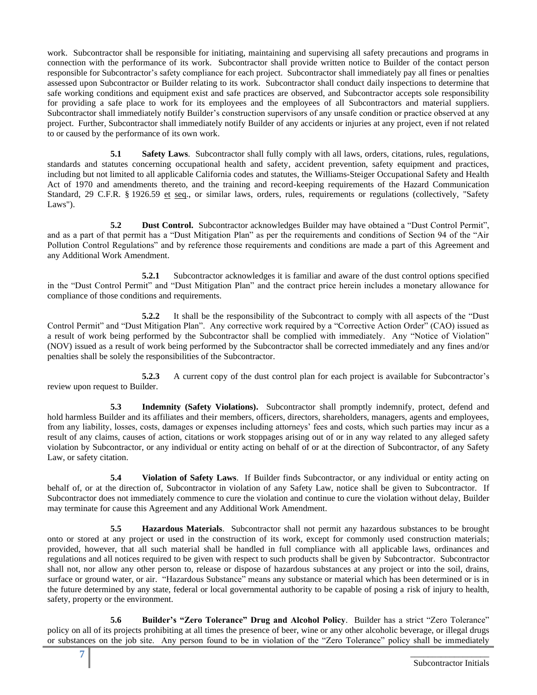work. Subcontractor shall be responsible for initiating, maintaining and supervising all safety precautions and programs in connection with the performance of its work. Subcontractor shall provide written notice to Builder of the contact person responsible for Subcontractor's safety compliance for each project. Subcontractor shall immediately pay all fines or penalties assessed upon Subcontractor or Builder relating to its work. Subcontractor shall conduct daily inspections to determine that safe working conditions and equipment exist and safe practices are observed, and Subcontractor accepts sole responsibility for providing a safe place to work for its employees and the employees of all Subcontractors and material suppliers. Subcontractor shall immediately notify Builder's construction supervisors of any unsafe condition or practice observed at any project. Further, Subcontractor shall immediately notify Builder of any accidents or injuries at any project, even if not related to or caused by the performance of its own work.

**5.1 Safety Laws**. Subcontractor shall fully comply with all laws, orders, citations, rules, regulations, standards and statutes concerning occupational health and safety, accident prevention, safety equipment and practices, including but not limited to all applicable California codes and statutes, the Williams-Steiger Occupational Safety and Health Act of 1970 and amendments thereto, and the training and record-keeping requirements of the Hazard Communication Standard, 29 C.F.R. § 1926.59 et seq., or similar laws, orders, rules, requirements or regulations (collectively, "Safety Laws").

**5.2 Dust Control.** Subcontractor acknowledges Builder may have obtained a "Dust Control Permit", and as a part of that permit has a "Dust Mitigation Plan" as per the requirements and conditions of Section 94 of the "Air Pollution Control Regulations" and by reference those requirements and conditions are made a part of this Agreement and any Additional Work Amendment.

**5.2.1** Subcontractor acknowledges it is familiar and aware of the dust control options specified in the "Dust Control Permit" and "Dust Mitigation Plan" and the contract price herein includes a monetary allowance for compliance of those conditions and requirements.

**5.2.2** It shall be the responsibility of the Subcontract to comply with all aspects of the "Dust Control Permit" and "Dust Mitigation Plan". Any corrective work required by a "Corrective Action Order" (CAO) issued as a result of work being performed by the Subcontractor shall be complied with immediately. Any "Notice of Violation" (NOV) issued as a result of work being performed by the Subcontractor shall be corrected immediately and any fines and/or penalties shall be solely the responsibilities of the Subcontractor.

**5.2.3** A current copy of the dust control plan for each project is available for Subcontractor's review upon request to Builder.

**5.3 Indemnity (Safety Violations).** Subcontractor shall promptly indemnify, protect, defend and hold harmless Builder and its affiliates and their members, officers, directors, shareholders, managers, agents and employees, from any liability, losses, costs, damages or expenses including attorneys' fees and costs, which such parties may incur as a result of any claims, causes of action, citations or work stoppages arising out of or in any way related to any alleged safety violation by Subcontractor, or any individual or entity acting on behalf of or at the direction of Subcontractor, of any Safety Law, or safety citation.

**5.4 Violation of Safety Laws**. If Builder finds Subcontractor, or any individual or entity acting on behalf of, or at the direction of, Subcontractor in violation of any Safety Law, notice shall be given to Subcontractor. If Subcontractor does not immediately commence to cure the violation and continue to cure the violation without delay, Builder may terminate for cause this Agreement and any Additional Work Amendment.

**5.5 Hazardous Materials**. Subcontractor shall not permit any hazardous substances to be brought onto or stored at any project or used in the construction of its work, except for commonly used construction materials; provided, however, that all such material shall be handled in full compliance with all applicable laws, ordinances and regulations and all notices required to be given with respect to such products shall be given by Subcontractor. Subcontractor shall not, nor allow any other person to, release or dispose of hazardous substances at any project or into the soil, drains, surface or ground water, or air. "Hazardous Substance" means any substance or material which has been determined or is in the future determined by any state, federal or local governmental authority to be capable of posing a risk of injury to health, safety, property or the environment.

**5.6 Builder's "Zero Tolerance" Drug and Alcohol Policy**. Builder has a strict "Zero Tolerance" policy on all of its projects prohibiting at all times the presence of beer, wine or any other alcoholic beverage, or illegal drugs or substances on the job site. Any person found to be in violation of the "Zero Tolerance" policy shall be immediately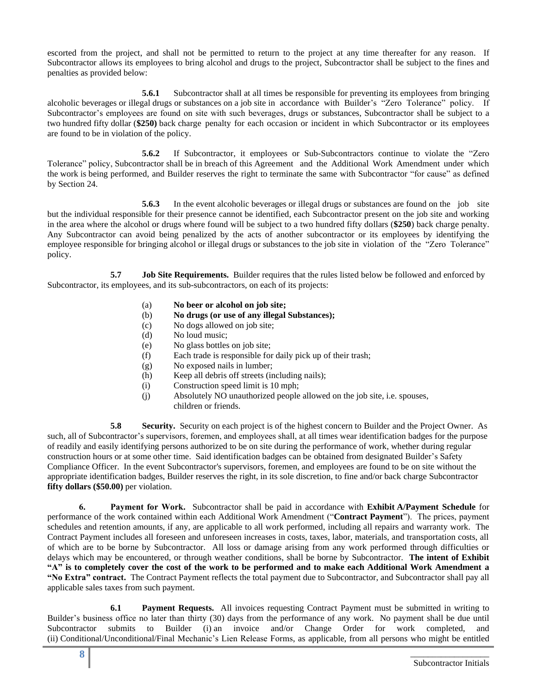escorted from the project, and shall not be permitted to return to the project at any time thereafter for any reason. If Subcontractor allows its employees to bring alcohol and drugs to the project, Subcontractor shall be subject to the fines and penalties as provided below:

**5.6.1** Subcontractor shall at all times be responsible for preventing its employees from bringing alcoholic beverages or illegal drugs or substances on a job site in accordance with Builder's "Zero Tolerance" policy. If Subcontractor's employees are found on site with such beverages, drugs or substances, Subcontractor shall be subject to a two hundred fifty dollar (**\$250)** back charge penalty for each occasion or incident in which Subcontractor or its employees are found to be in violation of the policy.

**5.6.2** If Subcontractor, it employees or Sub-Subcontractors continue to violate the "Zero Tolerance" policy, Subcontractor shall be in breach of this Agreement and the Additional Work Amendment under which the work is being performed, and Builder reserves the right to terminate the same with Subcontractor "for cause" as defined by Section 24.

**5.6.3** In the event alcoholic beverages or illegal drugs or substances are found on the job site but the individual responsible for their presence cannot be identified, each Subcontractor present on the job site and working in the area where the alcohol or drugs where found will be subject to a two hundred fifty dollars (**\$250**) back charge penalty. Any Subcontractor can avoid being penalized by the acts of another subcontractor or its employees by identifying the employee responsible for bringing alcohol or illegal drugs or substances to the job site in violation of the "Zero Tolerance" policy.

**5.7 Job Site Requirements.** Builder requires that the rules listed below be followed and enforced by Subcontractor, its employees, and its sub-subcontractors, on each of its projects:

- (a) **No beer or alcohol on job site;**
- (b) **No drugs (or use of any illegal Substances);**
- (c) No dogs allowed on job site;
- (d) No loud music;
- (e) No glass bottles on job site;
- (f) Each trade is responsible for daily pick up of their trash;
- (g) No exposed nails in lumber;
- (h) Keep all debris off streets (including nails);
- (i) Construction speed limit is 10 mph;
- (j) Absolutely NO unauthorized people allowed on the job site, i.e. spouses, children or friends.

**5.8 Security.** Security on each project is of the highest concern to Builder and the Project Owner. As such, all of Subcontractor's supervisors, foremen, and employees shall, at all times wear identification badges for the purpose of readily and easily identifying persons authorized to be on site during the performance of work, whether during regular construction hours or at some other time. Said identification badges can be obtained from designated Builder's Safety Compliance Officer. In the event Subcontractor's supervisors, foremen, and employees are found to be on site without the appropriate identification badges, Builder reserves the right, in its sole discretion, to fine and/or back charge Subcontractor **fifty dollars (\$50.00)** per violation.

**6. Payment for Work.** Subcontractor shall be paid in accordance with **Exhibit A/Payment Schedule** for performance of the work contained within each Additional Work Amendment ("**Contract Payment**"). The prices, payment schedules and retention amounts, if any, are applicable to all work performed, including all repairs and warranty work. The Contract Payment includes all foreseen and unforeseen increases in costs, taxes, labor, materials, and transportation costs, all of which are to be borne by Subcontractor. All loss or damage arising from any work performed through difficulties or delays which may be encountered, or through weather conditions, shall be borne by Subcontractor. **The intent of Exhibit "A" is to completely cover the cost of the work to be performed and to make each Additional Work Amendment a "No Extra" contract.** The Contract Payment reflects the total payment due to Subcontractor, and Subcontractor shall pay all applicable sales taxes from such payment.

**6.1 Payment Requests.** All invoices requesting Contract Payment must be submitted in writing to Builder's business office no later than thirty (30) days from the performance of any work. No payment shall be due until Subcontractor submits to Builder (i) an invoice and/or Change Order for work completed, and (ii) Conditional/Unconditional/Final Mechanic's Lien Release Forms, as applicable, from all persons who might be entitled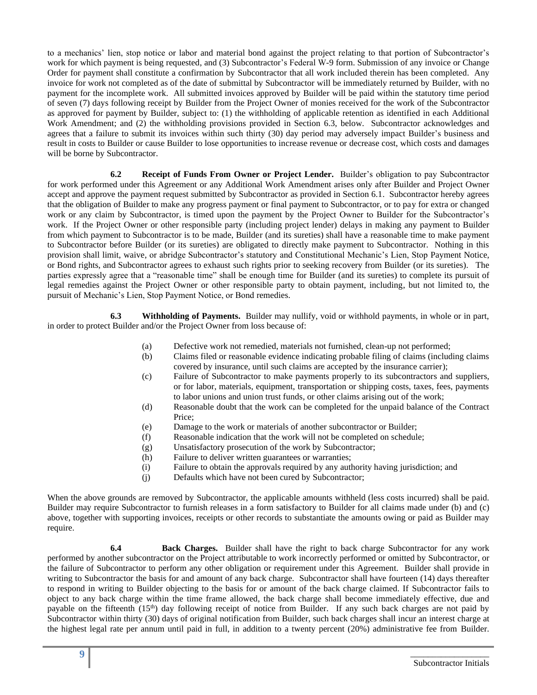to a mechanics' lien, stop notice or labor and material bond against the project relating to that portion of Subcontractor's work for which payment is being requested, and (3) Subcontractor's Federal W-9 form. Submission of any invoice or Change Order for payment shall constitute a confirmation by Subcontractor that all work included therein has been completed. Any invoice for work not completed as of the date of submittal by Subcontractor will be immediately returned by Builder, with no payment for the incomplete work. All submitted invoices approved by Builder will be paid within the statutory time period of seven (7) days following receipt by Builder from the Project Owner of monies received for the work of the Subcontractor as approved for payment by Builder, subject to: (1) the withholding of applicable retention as identified in each Additional Work Amendment; and (2) the withholding provisions provided in Section 6.3, below. Subcontractor acknowledges and agrees that a failure to submit its invoices within such thirty (30) day period may adversely impact Builder's business and result in costs to Builder or cause Builder to lose opportunities to increase revenue or decrease cost, which costs and damages will be borne by Subcontractor.

**6.2 Receipt of Funds From Owner or Project Lender.** Builder's obligation to pay Subcontractor for work performed under this Agreement or any Additional Work Amendment arises only after Builder and Project Owner accept and approve the payment request submitted by Subcontractor as provided in Section 6.1. Subcontractor hereby agrees that the obligation of Builder to make any progress payment or final payment to Subcontractor, or to pay for extra or changed work or any claim by Subcontractor, is timed upon the payment by the Project Owner to Builder for the Subcontractor's work. If the Project Owner or other responsible party (including project lender) delays in making any payment to Builder from which payment to Subcontractor is to be made, Builder (and its sureties) shall have a reasonable time to make payment to Subcontractor before Builder (or its sureties) are obligated to directly make payment to Subcontractor. Nothing in this provision shall limit, waive, or abridge Subcontractor's statutory and Constitutional Mechanic's Lien, Stop Payment Notice, or Bond rights, and Subcontractor agrees to exhaust such rights prior to seeking recovery from Builder (or its sureties). The parties expressly agree that a "reasonable time" shall be enough time for Builder (and its sureties) to complete its pursuit of legal remedies against the Project Owner or other responsible party to obtain payment, including, but not limited to, the pursuit of Mechanic's Lien, Stop Payment Notice, or Bond remedies.

**6.3 Withholding of Payments.** Builder may nullify, void or withhold payments, in whole or in part, in order to protect Builder and/or the Project Owner from loss because of:

- (a) Defective work not remedied, materials not furnished, clean-up not performed;
	- (b) Claims filed or reasonable evidence indicating probable filing of claims (including claims covered by insurance, until such claims are accepted by the insurance carrier);
	- (c) Failure of Subcontractor to make payments properly to its subcontractors and suppliers, or for labor, materials, equipment, transportation or shipping costs, taxes, fees, payments to labor unions and union trust funds, or other claims arising out of the work;
	- (d) Reasonable doubt that the work can be completed for the unpaid balance of the Contract Price;
	- (e) Damage to the work or materials of another subcontractor or Builder;
	- (f) Reasonable indication that the work will not be completed on schedule;
	- (g) Unsatisfactory prosecution of the work by Subcontractor;
- (h) Failure to deliver written guarantees or warranties;
- (i) Failure to obtain the approvals required by any authority having jurisdiction; and
- (j) Defaults which have not been cured by Subcontractor;

When the above grounds are removed by Subcontractor, the applicable amounts withheld (less costs incurred) shall be paid. Builder may require Subcontractor to furnish releases in a form satisfactory to Builder for all claims made under (b) and (c) above, together with supporting invoices, receipts or other records to substantiate the amounts owing or paid as Builder may require.

**6.4 Back Charges.** Builder shall have the right to back charge Subcontractor for any work performed by another subcontractor on the Project attributable to work incorrectly performed or omitted by Subcontractor, or the failure of Subcontractor to perform any other obligation or requirement under this Agreement. Builder shall provide in writing to Subcontractor the basis for and amount of any back charge. Subcontractor shall have fourteen (14) days thereafter to respond in writing to Builder objecting to the basis for or amount of the back charge claimed. If Subcontractor fails to object to any back charge within the time frame allowed, the back charge shall become immediately effective, due and payable on the fifteenth (15<sup>th</sup>) day following receipt of notice from Builder. If any such back charges are not paid by Subcontractor within thirty (30) days of original notification from Builder, such back charges shall incur an interest charge at the highest legal rate per annum until paid in full, in addition to a twenty percent (20%) administrative fee from Builder.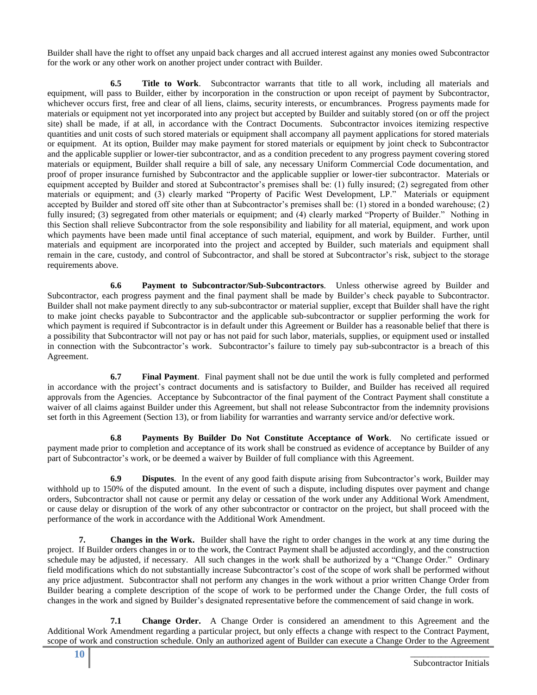Builder shall have the right to offset any unpaid back charges and all accrued interest against any monies owed Subcontractor for the work or any other work on another project under contract with Builder.

**6.5 Title to Work**. Subcontractor warrants that title to all work, including all materials and equipment, will pass to Builder, either by incorporation in the construction or upon receipt of payment by Subcontractor, whichever occurs first, free and clear of all liens, claims, security interests, or encumbrances. Progress payments made for materials or equipment not yet incorporated into any project but accepted by Builder and suitably stored (on or off the project site) shall be made, if at all, in accordance with the Contract Documents. Subcontractor invoices itemizing respective quantities and unit costs of such stored materials or equipment shall accompany all payment applications for stored materials or equipment. At its option, Builder may make payment for stored materials or equipment by joint check to Subcontractor and the applicable supplier or lower-tier subcontractor, and as a condition precedent to any progress payment covering stored materials or equipment, Builder shall require a bill of sale, any necessary Uniform Commercial Code documentation, and proof of proper insurance furnished by Subcontractor and the applicable supplier or lower-tier subcontractor. Materials or equipment accepted by Builder and stored at Subcontractor's premises shall be: (1) fully insured; (2) segregated from other materials or equipment; and (3) clearly marked "Property of Pacific West Development, LP." Materials or equipment accepted by Builder and stored off site other than at Subcontractor's premises shall be: (1) stored in a bonded warehouse; (2) fully insured; (3) segregated from other materials or equipment; and (4) clearly marked "Property of Builder." Nothing in this Section shall relieve Subcontractor from the sole responsibility and liability for all material, equipment, and work upon which payments have been made until final acceptance of such material, equipment, and work by Builder. Further, until materials and equipment are incorporated into the project and accepted by Builder, such materials and equipment shall remain in the care, custody, and control of Subcontractor, and shall be stored at Subcontractor's risk, subject to the storage requirements above.

**6.6 Payment to Subcontractor/Sub-Subcontractors**. Unless otherwise agreed by Builder and Subcontractor, each progress payment and the final payment shall be made by Builder's check payable to Subcontractor. Builder shall not make payment directly to any sub-subcontractor or material supplier, except that Builder shall have the right to make joint checks payable to Subcontractor and the applicable sub-subcontractor or supplier performing the work for which payment is required if Subcontractor is in default under this Agreement or Builder has a reasonable belief that there is a possibility that Subcontractor will not pay or has not paid for such labor, materials, supplies, or equipment used or installed in connection with the Subcontractor's work. Subcontractor's failure to timely pay sub-subcontractor is a breach of this Agreement.

**6.7 Final Payment**. Final payment shall not be due until the work is fully completed and performed in accordance with the project's contract documents and is satisfactory to Builder, and Builder has received all required approvals from the Agencies. Acceptance by Subcontractor of the final payment of the Contract Payment shall constitute a waiver of all claims against Builder under this Agreement, but shall not release Subcontractor from the indemnity provisions set forth in this Agreement (Section 13), or from liability for warranties and warranty service and/or defective work.

**6.8 Payments By Builder Do Not Constitute Acceptance of Work**. No certificate issued or payment made prior to completion and acceptance of its work shall be construed as evidence of acceptance by Builder of any part of Subcontractor's work, or be deemed a waiver by Builder of full compliance with this Agreement.

**6.9 Disputes**. In the event of any good faith dispute arising from Subcontractor's work, Builder may withhold up to 150% of the disputed amount. In the event of such a dispute, including disputes over payment and change orders, Subcontractor shall not cause or permit any delay or cessation of the work under any Additional Work Amendment, or cause delay or disruption of the work of any other subcontractor or contractor on the project, but shall proceed with the performance of the work in accordance with the Additional Work Amendment.

**7. Changes in the Work.** Builder shall have the right to order changes in the work at any time during the project. If Builder orders changes in or to the work, the Contract Payment shall be adjusted accordingly, and the construction schedule may be adjusted, if necessary. All such changes in the work shall be authorized by a "Change Order." Ordinary field modifications which do not substantially increase Subcontractor's cost of the scope of work shall be performed without any price adjustment. Subcontractor shall not perform any changes in the work without a prior written Change Order from Builder bearing a complete description of the scope of work to be performed under the Change Order, the full costs of changes in the work and signed by Builder's designated representative before the commencement of said change in work.

**7.1 Change Order.** A Change Order is considered an amendment to this Agreement and the Additional Work Amendment regarding a particular project, but only effects a change with respect to the Contract Payment, scope of work and construction schedule. Only an authorized agent of Builder can execute a Change Order to the Agreement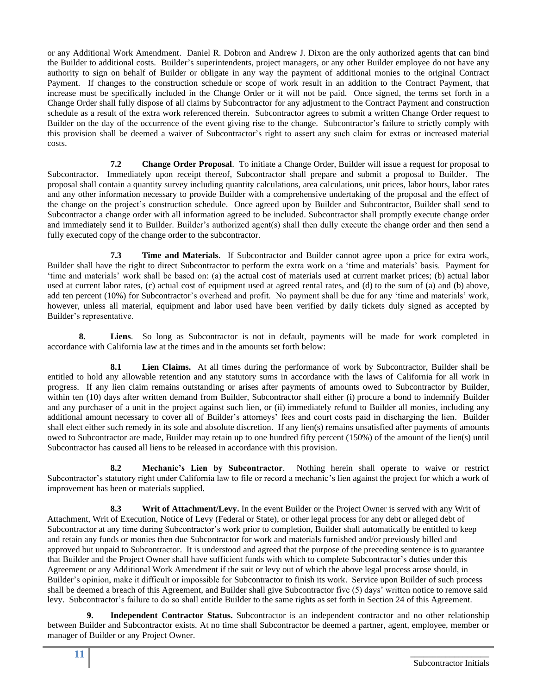or any Additional Work Amendment. Daniel R. Dobron and Andrew J. Dixon are the only authorized agents that can bind the Builder to additional costs. Builder's superintendents, project managers, or any other Builder employee do not have any authority to sign on behalf of Builder or obligate in any way the payment of additional monies to the original Contract Payment. If changes to the construction schedule or scope of work result in an addition to the Contract Payment, that increase must be specifically included in the Change Order or it will not be paid. Once signed, the terms set forth in a Change Order shall fully dispose of all claims by Subcontractor for any adjustment to the Contract Payment and construction schedule as a result of the extra work referenced therein. Subcontractor agrees to submit a written Change Order request to Builder on the day of the occurrence of the event giving rise to the change. Subcontractor's failure to strictly comply with this provision shall be deemed a waiver of Subcontractor's right to assert any such claim for extras or increased material costs.

**7.2 Change Order Proposal**. To initiate a Change Order, Builder will issue a request for proposal to Subcontractor. Immediately upon receipt thereof, Subcontractor shall prepare and submit a proposal to Builder. The proposal shall contain a quantity survey including quantity calculations, area calculations, unit prices, labor hours, labor rates and any other information necessary to provide Builder with a comprehensive undertaking of the proposal and the effect of the change on the project's construction schedule. Once agreed upon by Builder and Subcontractor, Builder shall send to Subcontractor a change order with all information agreed to be included. Subcontractor shall promptly execute change order and immediately send it to Builder. Builder's authorized agent(s) shall then dully execute the change order and then send a fully executed copy of the change order to the subcontractor.

**7.3 Time and Materials**. If Subcontractor and Builder cannot agree upon a price for extra work, Builder shall have the right to direct Subcontractor to perform the extra work on a 'time and materials' basis. Payment for 'time and materials' work shall be based on: (a) the actual cost of materials used at current market prices; (b) actual labor used at current labor rates, (c) actual cost of equipment used at agreed rental rates, and (d) to the sum of (a) and (b) above, add ten percent (10%) for Subcontractor's overhead and profit. No payment shall be due for any 'time and materials' work, however, unless all material, equipment and labor used have been verified by daily tickets duly signed as accepted by Builder's representative.

**8. Liens**. So long as Subcontractor is not in default, payments will be made for work completed in accordance with California law at the times and in the amounts set forth below:

**8.1 Lien Claims.** At all times during the performance of work by Subcontractor, Builder shall be entitled to hold any allowable retention and any statutory sums in accordance with the laws of California for all work in progress. If any lien claim remains outstanding or arises after payments of amounts owed to Subcontractor by Builder, within ten (10) days after written demand from Builder, Subcontractor shall either (i) procure a bond to indemnify Builder and any purchaser of a unit in the project against such lien, or (ii) immediately refund to Builder all monies, including any additional amount necessary to cover all of Builder's attorneys' fees and court costs paid in discharging the lien. Builder shall elect either such remedy in its sole and absolute discretion. If any lien(s) remains unsatisfied after payments of amounts owed to Subcontractor are made, Builder may retain up to one hundred fifty percent (150%) of the amount of the lien(s) until Subcontractor has caused all liens to be released in accordance with this provision.

**8.2 Mechanic's Lien by Subcontractor**. Nothing herein shall operate to waive or restrict Subcontractor's statutory right under California law to file or record a mechanic's lien against the project for which a work of improvement has been or materials supplied.

**8.3 Writ of Attachment/Levy.** In the event Builder or the Project Owner is served with any Writ of Attachment, Writ of Execution, Notice of Levy (Federal or State), or other legal process for any debt or alleged debt of Subcontractor at any time during Subcontractor's work prior to completion, Builder shall automatically be entitled to keep and retain any funds or monies then due Subcontractor for work and materials furnished and/or previously billed and approved but unpaid to Subcontractor. It is understood and agreed that the purpose of the preceding sentence is to guarantee that Builder and the Project Owner shall have sufficient funds with which to complete Subcontractor's duties under this Agreement or any Additional Work Amendment if the suit or levy out of which the above legal process arose should, in Builder's opinion, make it difficult or impossible for Subcontractor to finish its work. Service upon Builder of such process shall be deemed a breach of this Agreement, and Builder shall give Subcontractor five (5) days' written notice to remove said levy. Subcontractor's failure to do so shall entitle Builder to the same rights as set forth in Section 24 of this Agreement.

**9. Independent Contractor Status.** Subcontractor is an independent contractor and no other relationship between Builder and Subcontractor exists. At no time shall Subcontractor be deemed a partner, agent, employee, member or manager of Builder or any Project Owner.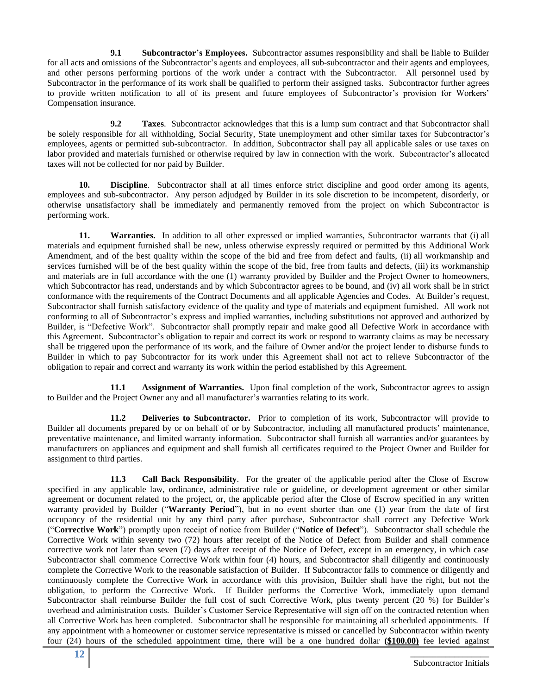**9.1 Subcontractor's Employees.** Subcontractor assumes responsibility and shall be liable to Builder for all acts and omissions of the Subcontractor's agents and employees, all sub-subcontractor and their agents and employees, and other persons performing portions of the work under a contract with the Subcontractor. All personnel used by Subcontractor in the performance of its work shall be qualified to perform their assigned tasks. Subcontractor further agrees to provide written notification to all of its present and future employees of Subcontractor's provision for Workers' Compensation insurance.

**9.2 Taxes**. Subcontractor acknowledges that this is a lump sum contract and that Subcontractor shall be solely responsible for all withholding, Social Security, State unemployment and other similar taxes for Subcontractor's employees, agents or permitted sub-subcontractor. In addition, Subcontractor shall pay all applicable sales or use taxes on labor provided and materials furnished or otherwise required by law in connection with the work. Subcontractor's allocated taxes will not be collected for nor paid by Builder.

**10. Discipline**. Subcontractor shall at all times enforce strict discipline and good order among its agents, employees and sub-subcontractor. Any person adjudged by Builder in its sole discretion to be incompetent, disorderly, or otherwise unsatisfactory shall be immediately and permanently removed from the project on which Subcontractor is performing work.

**11. Warranties.** In addition to all other expressed or implied warranties, Subcontractor warrants that (i) all materials and equipment furnished shall be new, unless otherwise expressly required or permitted by this Additional Work Amendment, and of the best quality within the scope of the bid and free from defect and faults, (ii) all workmanship and services furnished will be of the best quality within the scope of the bid, free from faults and defects, (iii) its workmanship and materials are in full accordance with the one (1) warranty provided by Builder and the Project Owner to homeowners, which Subcontractor has read, understands and by which Subcontractor agrees to be bound, and (iv) all work shall be in strict conformance with the requirements of the Contract Documents and all applicable Agencies and Codes. At Builder's request, Subcontractor shall furnish satisfactory evidence of the quality and type of materials and equipment furnished. All work not conforming to all of Subcontractor's express and implied warranties, including substitutions not approved and authorized by Builder, is "Defective Work". Subcontractor shall promptly repair and make good all Defective Work in accordance with this Agreement. Subcontractor's obligation to repair and correct its work or respond to warranty claims as may be necessary shall be triggered upon the performance of its work, and the failure of Owner and/or the project lender to disburse funds to Builder in which to pay Subcontractor for its work under this Agreement shall not act to relieve Subcontractor of the obligation to repair and correct and warranty its work within the period established by this Agreement.

**11.1 Assignment of Warranties.** Upon final completion of the work, Subcontractor agrees to assign to Builder and the Project Owner any and all manufacturer's warranties relating to its work.

**11.2 Deliveries to Subcontractor.** Prior to completion of its work, Subcontractor will provide to Builder all documents prepared by or on behalf of or by Subcontractor, including all manufactured products' maintenance, preventative maintenance, and limited warranty information. Subcontractor shall furnish all warranties and/or guarantees by manufacturers on appliances and equipment and shall furnish all certificates required to the Project Owner and Builder for assignment to third parties.

**11.3 Call Back Responsibility**. For the greater of the applicable period after the Close of Escrow specified in any applicable law, ordinance, administrative rule or guideline, or development agreement or other similar agreement or document related to the project, or, the applicable period after the Close of Escrow specified in any written warranty provided by Builder ("**Warranty Period**"), but in no event shorter than one (1) year from the date of first occupancy of the residential unit by any third party after purchase, Subcontractor shall correct any Defective Work ("**Corrective Work**") promptly upon receipt of notice from Builder ("**Notice of Defect**"). Subcontractor shall schedule the Corrective Work within seventy two (72) hours after receipt of the Notice of Defect from Builder and shall commence corrective work not later than seven (7) days after receipt of the Notice of Defect, except in an emergency, in which case Subcontractor shall commence Corrective Work within four (4) hours, and Subcontractor shall diligently and continuously complete the Corrective Work to the reasonable satisfaction of Builder. If Subcontractor fails to commence or diligently and continuously complete the Corrective Work in accordance with this provision, Builder shall have the right, but not the obligation, to perform the Corrective Work. If Builder performs the Corrective Work, immediately upon demand Subcontractor shall reimburse Builder the full cost of such Corrective Work, plus twenty percent (20 %) for Builder's overhead and administration costs. Builder's Customer Service Representative will sign off on the contracted retention when all Corrective Work has been completed. Subcontractor shall be responsible for maintaining all scheduled appointments. If any appointment with a homeowner or customer service representative is missed or cancelled by Subcontractor within twenty four (24) hours of the scheduled appointment time, there will be a one hundred dollar **(\$100.00)** fee levied against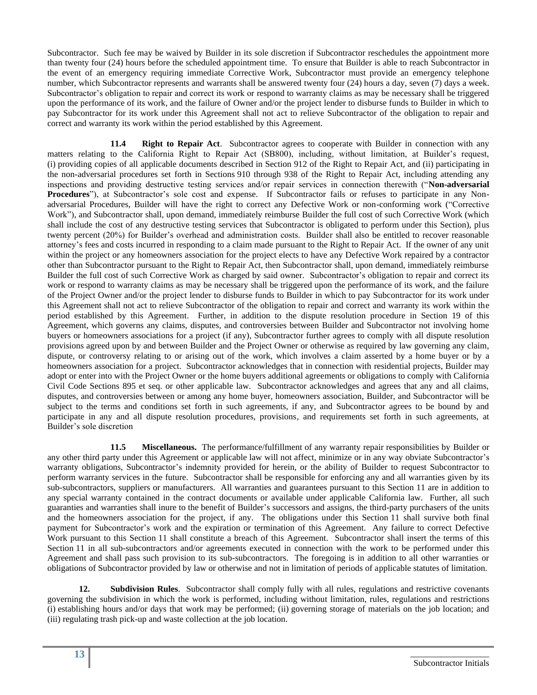Subcontractor. Such fee may be waived by Builder in its sole discretion if Subcontractor reschedules the appointment more than twenty four (24) hours before the scheduled appointment time. To ensure that Builder is able to reach Subcontractor in the event of an emergency requiring immediate Corrective Work, Subcontractor must provide an emergency telephone number, which Subcontractor represents and warrants shall be answered twenty four (24) hours a day, seven (7) days a week. Subcontractor's obligation to repair and correct its work or respond to warranty claims as may be necessary shall be triggered upon the performance of its work, and the failure of Owner and/or the project lender to disburse funds to Builder in which to pay Subcontractor for its work under this Agreement shall not act to relieve Subcontractor of the obligation to repair and correct and warranty its work within the period established by this Agreement.

**11.4 Right to Repair Act**. Subcontractor agrees to cooperate with Builder in connection with any matters relating to the California Right to Repair Act (SB800), including, without limitation, at Builder's request, (i) providing copies of all applicable documents described in Section 912 of the Right to Repair Act, and (ii) participating in the non-adversarial procedures set forth in Sections 910 through 938 of the Right to Repair Act, including attending any inspections and providing destructive testing services and/or repair services in connection therewith ("**Non-adversarial Procedures**"), at Subcontractor's sole cost and expense. If Subcontractor fails or refuses to participate in any Nonadversarial Procedures, Builder will have the right to correct any Defective Work or non-conforming work ("Corrective Work"), and Subcontractor shall, upon demand, immediately reimburse Builder the full cost of such Corrective Work (which shall include the cost of any destructive testing services that Subcontractor is obligated to perform under this Section), plus twenty percent (20%) for Builder's overhead and administration costs. Builder shall also be entitled to recover reasonable attorney's fees and costs incurred in responding to a claim made pursuant to the Right to Repair Act. If the owner of any unit within the project or any homeowners association for the project elects to have any Defective Work repaired by a contractor other than Subcontractor pursuant to the Right to Repair Act, then Subcontractor shall, upon demand, immediately reimburse Builder the full cost of such Corrective Work as charged by said owner. Subcontractor's obligation to repair and correct its work or respond to warranty claims as may be necessary shall be triggered upon the performance of its work, and the failure of the Project Owner and/or the project lender to disburse funds to Builder in which to pay Subcontractor for its work under this Agreement shall not act to relieve Subcontractor of the obligation to repair and correct and warranty its work within the period established by this Agreement. Further, in addition to the dispute resolution procedure in Section 19 of this Agreement, which governs any claims, disputes, and controversies between Builder and Subcontractor not involving home buyers or homeowners associations for a project (if any), Subcontractor further agrees to comply with all dispute resolution provisions agreed upon by and between Builder and the Project Owner or otherwise as required by law governing any claim, dispute, or controversy relating to or arising out of the work, which involves a claim asserted by a home buyer or by a homeowners association for a project. Subcontractor acknowledges that in connection with residential projects, Builder may adopt or enter into with the Project Owner or the home buyers additional agreements or obligations to comply with California Civil Code Sections 895 et seq. or other applicable law. Subcontractor acknowledges and agrees that any and all claims, disputes, and controversies between or among any home buyer, homeowners association, Builder, and Subcontractor will be subject to the terms and conditions set forth in such agreements, if any, and Subcontractor agrees to be bound by and participate in any and all dispute resolution procedures, provisions, and requirements set forth in such agreements, at Builder's sole discretion

**11.5 Miscellaneous.** The performance/fulfillment of any warranty repair responsibilities by Builder or any other third party under this Agreement or applicable law will not affect, minimize or in any way obviate Subcontractor's warranty obligations, Subcontractor's indemnity provided for herein, or the ability of Builder to request Subcontractor to perform warranty services in the future. Subcontractor shall be responsible for enforcing any and all warranties given by its sub-subcontractors, suppliers or manufacturers. All warranties and guarantees pursuant to this Section 11 are in addition to any special warranty contained in the contract documents or available under applicable California law. Further, all such guaranties and warranties shall inure to the benefit of Builder's successors and assigns, the third-party purchasers of the units and the homeowners association for the project, if any. The obligations under this Section 11 shall survive both final payment for Subcontractor's work and the expiration or termination of this Agreement. Any failure to correct Defective Work pursuant to this Section 11 shall constitute a breach of this Agreement. Subcontractor shall insert the terms of this Section 11 in all sub-subcontractors and/or agreements executed in connection with the work to be performed under this Agreement and shall pass such provision to its sub-subcontractors. The foregoing is in addition to all other warranties or obligations of Subcontractor provided by law or otherwise and not in limitation of periods of applicable statutes of limitation.

**12. Subdivision Rules**. Subcontractor shall comply fully with all rules, regulations and restrictive covenants governing the subdivision in which the work is performed, including without limitation, rules, regulations and restrictions (i) establishing hours and/or days that work may be performed; (ii) governing storage of materials on the job location; and (iii) regulating trash pick-up and waste collection at the job location.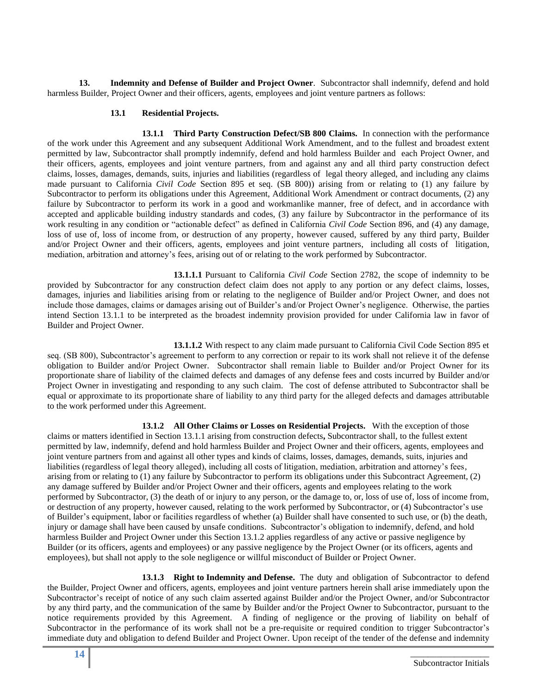**13. Indemnity and Defense of Builder and Project Owner**. Subcontractor shall indemnify, defend and hold harmless Builder, Project Owner and their officers, agents, employees and joint venture partners as follows:

#### **13.1 Residential Projects.**

**13.1.1 Third Party Construction Defect/SB 800 Claims.** In connection with the performance of the work under this Agreement and any subsequent Additional Work Amendment, and to the fullest and broadest extent permitted by law, Subcontractor shall promptly indemnify, defend and hold harmless Builder and each Project Owner, and their officers, agents, employees and joint venture partners, from and against any and all third party construction defect claims, losses, damages, demands, suits, injuries and liabilities (regardless of legal theory alleged, and including any claims made pursuant to California *Civil Code* Section 895 et seq. (SB 800)) arising from or relating to (1) any failure by Subcontractor to perform its obligations under this Agreement, Additional Work Amendment or contract documents, (2) any failure by Subcontractor to perform its work in a good and workmanlike manner, free of defect, and in accordance with accepted and applicable building industry standards and codes, (3) any failure by Subcontractor in the performance of its work resulting in any condition or "actionable defect" as defined in California *Civil Code* Section 896, and (4) any damage, loss of use of, loss of income from, or destruction of any property, however caused, suffered by any third party, Builder and/or Project Owner and their officers, agents, employees and joint venture partners, including all costs of litigation, mediation, arbitration and attorney's fees, arising out of or relating to the work performed by Subcontractor.

**13.1.1.1** Pursuant to California *Civil Code* Section 2782, the scope of indemnity to be provided by Subcontractor for any construction defect claim does not apply to any portion or any defect claims, losses, damages, injuries and liabilities arising from or relating to the negligence of Builder and/or Project Owner, and does not include those damages, claims or damages arising out of Builder's and/or Project Owner's negligence. Otherwise, the parties intend Section 13.1.1 to be interpreted as the broadest indemnity provision provided for under California law in favor of Builder and Project Owner.

**13.1.1.2** With respect to any claim made pursuant to California Civil Code Section 895 et seq. (SB 800), Subcontractor's agreement to perform to any correction or repair to its work shall not relieve it of the defense obligation to Builder and/or Project Owner. Subcontractor shall remain liable to Builder and/or Project Owner for its proportionate share of liability of the claimed defects and damages of any defense fees and costs incurred by Builder and/or Project Owner in investigating and responding to any such claim. The cost of defense attributed to Subcontractor shall be equal or approximate to its proportionate share of liability to any third party for the alleged defects and damages attributable to the work performed under this Agreement.

**13.1.2 All Other Claims or Losses on Residential Projects.** With the exception of those claims or matters identified in Section 13.1.1 arising from construction defects**,** Subcontractor shall, to the fullest extent permitted by law, indemnify, defend and hold harmless Builder and Project Owner and their officers, agents, employees and joint venture partners from and against all other types and kinds of claims, losses, damages, demands, suits, injuries and liabilities (regardless of legal theory alleged), including all costs of litigation, mediation, arbitration and attorney's fees, arising from or relating to (1) any failure by Subcontractor to perform its obligations under this Subcontract Agreement, (2) any damage suffered by Builder and/or Project Owner and their officers, agents and employees relating to the work performed by Subcontractor, (3) the death of or injury to any person, or the damage to, or, loss of use of, loss of income from, or destruction of any property, however caused, relating to the work performed by Subcontractor, or (4) Subcontractor's use of Builder's equipment, labor or facilities regardless of whether (a) Builder shall have consented to such use, or (b) the death, injury or damage shall have been caused by unsafe conditions. Subcontractor's obligation to indemnify, defend, and hold harmless Builder and Project Owner under this Section 13.1.2 applies regardless of any active or passive negligence by Builder (or its officers, agents and employees) or any passive negligence by the Project Owner (or its officers, agents and employees), but shall not apply to the sole negligence or willful misconduct of Builder or Project Owner.

 **13.1.3 Right to Indemnity and Defense.** The duty and obligation of Subcontractor to defend the Builder, Project Owner and officers, agents, employees and joint venture partners herein shall arise immediately upon the Subcontractor's receipt of notice of any such claim asserted against Builder and/or the Project Owner, and/or Subcontractor by any third party, and the communication of the same by Builder and/or the Project Owner to Subcontractor, pursuant to the notice requirements provided by this Agreement. A finding of negligence or the proving of liability on behalf of Subcontractor in the performance of its work shall not be a pre-requisite or required condition to trigger Subcontractor's immediate duty and obligation to defend Builder and Project Owner. Upon receipt of the tender of the defense and indemnity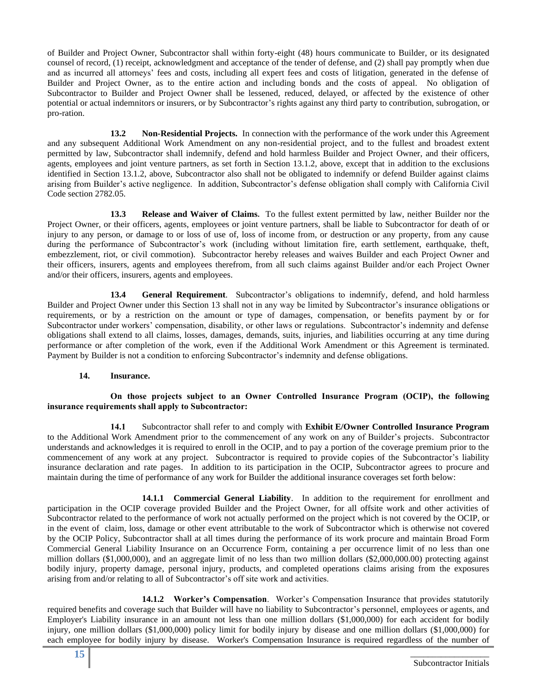of Builder and Project Owner, Subcontractor shall within forty-eight (48) hours communicate to Builder, or its designated counsel of record, (1) receipt, acknowledgment and acceptance of the tender of defense, and (2) shall pay promptly when due and as incurred all attorneys' fees and costs, including all expert fees and costs of litigation, generated in the defense of Builder and Project Owner, as to the entire action and including bonds and the costs of appeal. No obligation of Subcontractor to Builder and Project Owner shall be lessened, reduced, delayed, or affected by the existence of other potential or actual indemnitors or insurers, or by Subcontractor's rights against any third party to contribution, subrogation, or pro-ration.

**13.2 Non-Residential Projects.** In connection with the performance of the work under this Agreement and any subsequent Additional Work Amendment on any non-residential project, and to the fullest and broadest extent permitted by law, Subcontractor shall indemnify, defend and hold harmless Builder and Project Owner, and their officers, agents, employees and joint venture partners, as set forth in Section 13.1.2, above, except that in addition to the exclusions identified in Section 13.1.2, above, Subcontractor also shall not be obligated to indemnify or defend Builder against claims arising from Builder's active negligence. In addition, Subcontractor's defense obligation shall comply with California Civil Code section 2782.05.

**13.3 Release and Waiver of Claims.** To the fullest extent permitted by law, neither Builder nor the Project Owner, or their officers, agents, employees or joint venture partners, shall be liable to Subcontractor for death of or injury to any person, or damage to or loss of use of, loss of income from, or destruction or any property, from any cause during the performance of Subcontractor's work (including without limitation fire, earth settlement, earthquake, theft, embezzlement, riot, or civil commotion). Subcontractor hereby releases and waives Builder and each Project Owner and their officers, insurers, agents and employees therefrom, from all such claims against Builder and/or each Project Owner and/or their officers, insurers, agents and employees.

**13.4 General Requirement**. Subcontractor's obligations to indemnify, defend, and hold harmless Builder and Project Owner under this Section 13 shall not in any way be limited by Subcontractor's insurance obligations or requirements, or by a restriction on the amount or type of damages, compensation, or benefits payment by or for Subcontractor under workers' compensation, disability, or other laws or regulations. Subcontractor's indemnity and defense obligations shall extend to all claims, losses, damages, demands, suits, injuries, and liabilities occurring at any time during performance or after completion of the work, even if the Additional Work Amendment or this Agreement is terminated. Payment by Builder is not a condition to enforcing Subcontractor's indemnity and defense obligations.

## **14. Insurance.**

# **On those projects subject to an Owner Controlled Insurance Program (OCIP), the following insurance requirements shall apply to Subcontractor:**

**14.1** Subcontractor shall refer to and comply with **Exhibit E/Owner Controlled Insurance Program** to the Additional Work Amendment prior to the commencement of any work on any of Builder's projects. Subcontractor understands and acknowledges it is required to enroll in the OCIP, and to pay a portion of the coverage premium prior to the commencement of any work at any project. Subcontractor is required to provide copies of the Subcontractor's liability insurance declaration and rate pages. In addition to its participation in the OCIP, Subcontractor agrees to procure and maintain during the time of performance of any work for Builder the additional insurance coverages set forth below:

**14.1.1 Commercial General Liability**. In addition to the requirement for enrollment and participation in the OCIP coverage provided Builder and the Project Owner, for all offsite work and other activities of Subcontractor related to the performance of work not actually performed on the project which is not covered by the OCIP, or in the event of claim, loss, damage or other event attributable to the work of Subcontractor which is otherwise not covered by the OCIP Policy, Subcontractor shall at all times during the performance of its work procure and maintain Broad Form Commercial General Liability Insurance on an Occurrence Form, containing a per occurrence limit of no less than one million dollars (\$1,000,000), and an aggregate limit of no less than two million dollars (\$2,000,000.00) protecting against bodily injury, property damage, personal injury, products, and completed operations claims arising from the exposures arising from and/or relating to all of Subcontractor's off site work and activities.

**14.1.2 Worker's Compensation**. Worker's Compensation Insurance that provides statutorily required benefits and coverage such that Builder will have no liability to Subcontractor's personnel, employees or agents, and Employer's Liability insurance in an amount not less than one million dollars (\$1,000,000) for each accident for bodily injury, one million dollars (\$1,000,000) policy limit for bodily injury by disease and one million dollars (\$1,000,000) for each employee for bodily injury by disease. Worker's Compensation Insurance is required regardless of the number of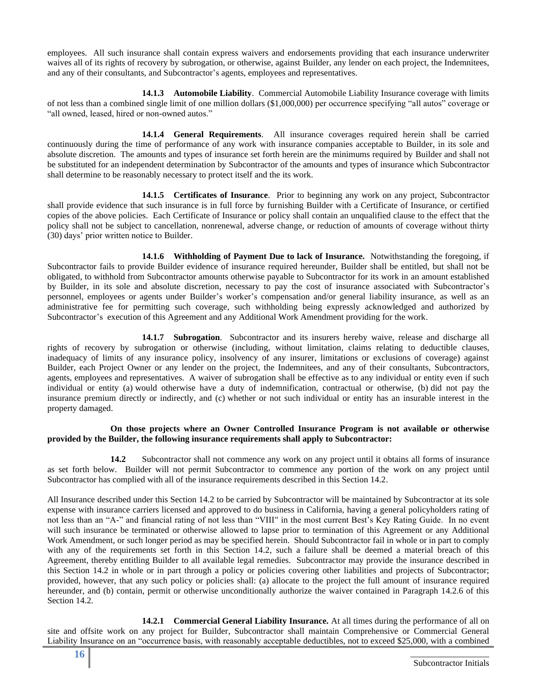employees. All such insurance shall contain express waivers and endorsements providing that each insurance underwriter waives all of its rights of recovery by subrogation, or otherwise, against Builder, any lender on each project, the Indemnitees, and any of their consultants, and Subcontractor's agents, employees and representatives.

**14.1.3 Automobile Liability**. Commercial Automobile Liability Insurance coverage with limits of not less than a combined single limit of one million dollars (\$1,000,000) per occurrence specifying "all autos" coverage or "all owned, leased, hired or non-owned autos."

**14.1.4 General Requirements**. All insurance coverages required herein shall be carried continuously during the time of performance of any work with insurance companies acceptable to Builder, in its sole and absolute discretion. The amounts and types of insurance set forth herein are the minimums required by Builder and shall not be substituted for an independent determination by Subcontractor of the amounts and types of insurance which Subcontractor shall determine to be reasonably necessary to protect itself and the its work.

**14.1.5 Certificates of Insurance**. Prior to beginning any work on any project, Subcontractor shall provide evidence that such insurance is in full force by furnishing Builder with a Certificate of Insurance, or certified copies of the above policies. Each Certificate of Insurance or policy shall contain an unqualified clause to the effect that the policy shall not be subject to cancellation, nonrenewal, adverse change, or reduction of amounts of coverage without thirty (30) days' prior written notice to Builder.

**14.1.6 Withholding of Payment Due to lack of Insurance.** Notwithstanding the foregoing, if Subcontractor fails to provide Builder evidence of insurance required hereunder, Builder shall be entitled, but shall not be obligated, to withhold from Subcontractor amounts otherwise payable to Subcontractor for its work in an amount established by Builder, in its sole and absolute discretion, necessary to pay the cost of insurance associated with Subcontractor's personnel, employees or agents under Builder's worker's compensation and/or general liability insurance, as well as an administrative fee for permitting such coverage, such withholding being expressly acknowledged and authorized by Subcontractor's execution of this Agreement and any Additional Work Amendment providing for the work.

**14.1.7 Subrogation**. Subcontractor and its insurers hereby waive, release and discharge all rights of recovery by subrogation or otherwise (including, without limitation, claims relating to deductible clauses, inadequacy of limits of any insurance policy, insolvency of any insurer, limitations or exclusions of coverage) against Builder, each Project Owner or any lender on the project, the Indemnitees, and any of their consultants, Subcontractors, agents, employees and representatives. A waiver of subrogation shall be effective as to any individual or entity even if such individual or entity (a) would otherwise have a duty of indemnification, contractual or otherwise, (b) did not pay the insurance premium directly or indirectly, and (c) whether or not such individual or entity has an insurable interest in the property damaged.

## **On those projects where an Owner Controlled Insurance Program is not available or otherwise provided by the Builder, the following insurance requirements shall apply to Subcontractor:**

**14.2** Subcontractor shall not commence any work on any project until it obtains all forms of insurance as set forth below. Builder will not permit Subcontractor to commence any portion of the work on any project until Subcontractor has complied with all of the insurance requirements described in this Section 14.2.

All Insurance described under this Section 14.2 to be carried by Subcontractor will be maintained by Subcontractor at its sole expense with insurance carriers licensed and approved to do business in California, having a general policyholders rating of not less than an "A-" and financial rating of not less than "VIII" in the most current Best's Key Rating Guide. In no event will such insurance be terminated or otherwise allowed to lapse prior to termination of this Agreement or any Additional Work Amendment, or such longer period as may be specified herein. Should Subcontractor fail in whole or in part to comply with any of the requirements set forth in this Section 14.2, such a failure shall be deemed a material breach of this Agreement, thereby entitling Builder to all available legal remedies. Subcontractor may provide the insurance described in this Section 14.2 in whole or in part through a policy or policies covering other liabilities and projects of Subcontractor; provided, however, that any such policy or policies shall: (a) allocate to the project the full amount of insurance required hereunder, and (b) contain, permit or otherwise unconditionally authorize the waiver contained in Paragraph 14.2.6 of this Section 14.2.

**14.2.1 Commercial General Liability Insurance.** At all times during the performance of all on site and offsite work on any project for Builder, Subcontractor shall maintain Comprehensive or Commercial General Liability Insurance on an "occurrence basis, with reasonably acceptable deductibles, not to exceed \$25,000, with a combined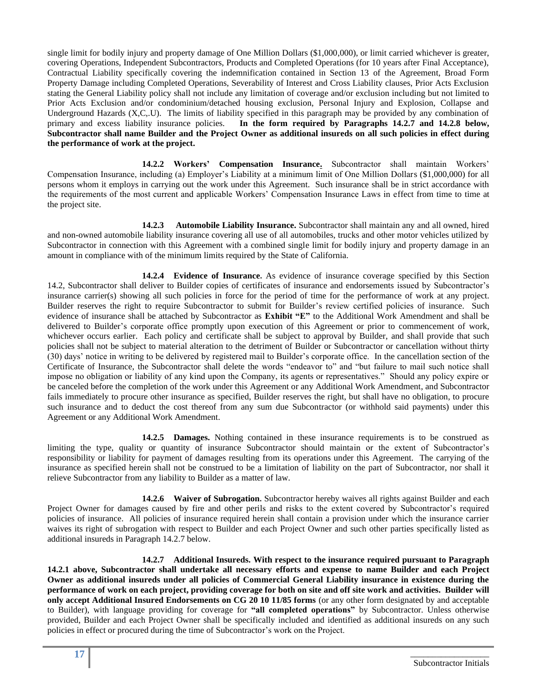single limit for bodily injury and property damage of One Million Dollars (\$1,000,000), or limit carried whichever is greater, covering Operations, Independent Subcontractors, Products and Completed Operations (for 10 years after Final Acceptance), Contractual Liability specifically covering the indemnification contained in Section 13 of the Agreement, Broad Form Property Damage including Completed Operations, Severability of Interest and Cross Liability clauses, Prior Acts Exclusion stating the General Liability policy shall not include any limitation of coverage and/or exclusion including but not limited to Prior Acts Exclusion and/or condominium/detached housing exclusion, Personal Injury and Explosion, Collapse and Underground Hazards (X,C,.U). The limits of liability specified in this paragraph may be provided by any combination of primary and excess liability insurance policies. **In the form required by Paragraphs 14.2.7 and 14.2.8 below, Subcontractor shall name Builder and the Project Owner as additional insureds on all such policies in effect during the performance of work at the project.**

**14.2.2 Workers' Compensation Insurance.** Subcontractor shall maintain Workers' Compensation Insurance, including (a) Employer's Liability at a minimum limit of One Million Dollars (\$1,000,000) for all persons whom it employs in carrying out the work under this Agreement. Such insurance shall be in strict accordance with the requirements of the most current and applicable Workers' Compensation Insurance Laws in effect from time to time at the project site.

**14.2.3 Automobile Liability Insurance.** Subcontractor shall maintain any and all owned, hired and non-owned automobile liability insurance covering all use of all automobiles, trucks and other motor vehicles utilized by Subcontractor in connection with this Agreement with a combined single limit for bodily injury and property damage in an amount in compliance with of the minimum limits required by the State of California.

**14.2.4 Evidence of Insurance.** As evidence of insurance coverage specified by this Section 14.2, Subcontractor shall deliver to Builder copies of certificates of insurance and endorsements issued by Subcontractor's insurance carrier(s) showing all such policies in force for the period of time for the performance of work at any project. Builder reserves the right to require Subcontractor to submit for Builder's review certified policies of insurance. Such evidence of insurance shall be attached by Subcontractor as **Exhibit "E"** to the Additional Work Amendment and shall be delivered to Builder's corporate office promptly upon execution of this Agreement or prior to commencement of work, whichever occurs earlier. Each policy and certificate shall be subject to approval by Builder, and shall provide that such policies shall not be subject to material alteration to the detriment of Builder or Subcontractor or cancellation without thirty (30) days' notice in writing to be delivered by registered mail to Builder's corporate office. In the cancellation section of the Certificate of Insurance, the Subcontractor shall delete the words "endeavor to" and "but failure to mail such notice shall impose no obligation or liability of any kind upon the Company, its agents or representatives." Should any policy expire or be canceled before the completion of the work under this Agreement or any Additional Work Amendment, and Subcontractor fails immediately to procure other insurance as specified, Builder reserves the right, but shall have no obligation, to procure such insurance and to deduct the cost thereof from any sum due Subcontractor (or withhold said payments) under this Agreement or any Additional Work Amendment.

**14.2.5 Damages.** Nothing contained in these insurance requirements is to be construed as limiting the type, quality or quantity of insurance Subcontractor should maintain or the extent of Subcontractor's responsibility or liability for payment of damages resulting from its operations under this Agreement. The carrying of the insurance as specified herein shall not be construed to be a limitation of liability on the part of Subcontractor, nor shall it relieve Subcontractor from any liability to Builder as a matter of law.

**14.2.6 Waiver of Subrogation.** Subcontractor hereby waives all rights against Builder and each Project Owner for damages caused by fire and other perils and risks to the extent covered by Subcontractor's required policies of insurance. All policies of insurance required herein shall contain a provision under which the insurance carrier waives its right of subrogation with respect to Builder and each Project Owner and such other parties specifically listed as additional insureds in Paragraph 14.2.7 below.

**14.2.7 Additional Insureds. With respect to the insurance required pursuant to Paragraph 14.2.1 above, Subcontractor shall undertake all necessary efforts and expense to name Builder and each Project Owner as additional insureds under all policies of Commercial General Liability insurance in existence during the performance of work on each project, providing coverage for both on site and off site work and activities. Builder will only accept Additional Insured Endorsements on CG 20 10 11/85 forms** (or any other form designated by and acceptable to Builder), with language providing for coverage for **"all completed operations"** by Subcontractor. Unless otherwise provided, Builder and each Project Owner shall be specifically included and identified as additional insureds on any such policies in effect or procured during the time of Subcontractor's work on the Project.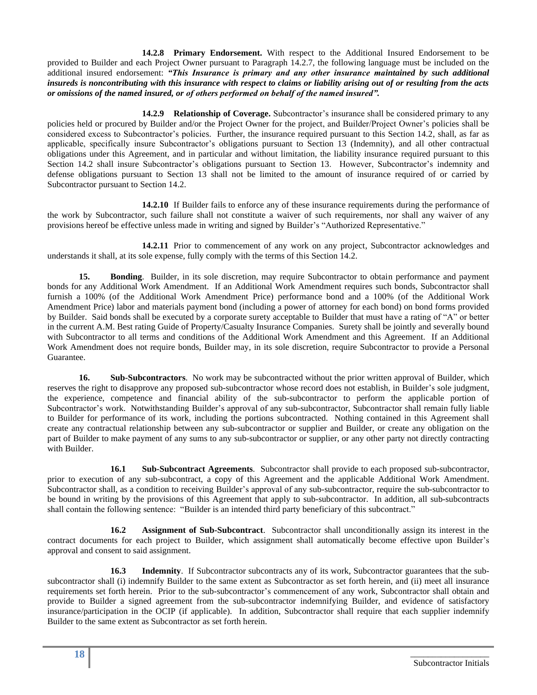**14.2.8 Primary Endorsement.** With respect to the Additional Insured Endorsement to be provided to Builder and each Project Owner pursuant to Paragraph 14.2.7, the following language must be included on the additional insured endorsement: *"This Insurance is primary and any other insurance maintained by such additional insureds is noncontributing with this insurance with respect to claims or liability arising out of or resulting from the acts or omissions of the named insured, or of others performed on behalf of the named insured".*

**14.2.9 Relationship of Coverage.** Subcontractor's insurance shall be considered primary to any policies held or procured by Builder and/or the Project Owner for the project, and Builder/Project Owner's policies shall be considered excess to Subcontractor's policies. Further, the insurance required pursuant to this Section 14.2, shall, as far as applicable, specifically insure Subcontractor's obligations pursuant to Section 13 (Indemnity), and all other contractual obligations under this Agreement, and in particular and without limitation, the liability insurance required pursuant to this Section 14.2 shall insure Subcontractor's obligations pursuant to Section 13. However, Subcontractor's indemnity and defense obligations pursuant to Section 13 shall not be limited to the amount of insurance required of or carried by Subcontractor pursuant to Section 14.2.

**14.2.10** If Builder fails to enforce any of these insurance requirements during the performance of the work by Subcontractor, such failure shall not constitute a waiver of such requirements, nor shall any waiver of any provisions hereof be effective unless made in writing and signed by Builder's "Authorized Representative."

 **14.2.11** Prior to commencement of any work on any project, Subcontractor acknowledges and understands it shall, at its sole expense, fully comply with the terms of this Section 14.2.

**15. Bonding**. Builder, in its sole discretion, may require Subcontractor to obtain performance and payment bonds for any Additional Work Amendment. If an Additional Work Amendment requires such bonds, Subcontractor shall furnish a 100% (of the Additional Work Amendment Price) performance bond and a 100% (of the Additional Work Amendment Price) labor and materials payment bond (including a power of attorney for each bond) on bond forms provided by Builder. Said bonds shall be executed by a corporate surety acceptable to Builder that must have a rating of "A" or better in the current A.M. Best rating Guide of Property/Casualty Insurance Companies. Surety shall be jointly and severally bound with Subcontractor to all terms and conditions of the Additional Work Amendment and this Agreement. If an Additional Work Amendment does not require bonds, Builder may, in its sole discretion, require Subcontractor to provide a Personal Guarantee.

**16. Sub-Subcontractors**. No work may be subcontracted without the prior written approval of Builder, which reserves the right to disapprove any proposed sub-subcontractor whose record does not establish, in Builder's sole judgment, the experience, competence and financial ability of the sub-subcontractor to perform the applicable portion of Subcontractor's work. Notwithstanding Builder's approval of any sub-subcontractor, Subcontractor shall remain fully liable to Builder for performance of its work, including the portions subcontracted. Nothing contained in this Agreement shall create any contractual relationship between any sub-subcontractor or supplier and Builder, or create any obligation on the part of Builder to make payment of any sums to any sub-subcontractor or supplier, or any other party not directly contracting with Builder.

**16.1 Sub-Subcontract Agreements**. Subcontractor shall provide to each proposed sub-subcontractor, prior to execution of any sub-subcontract, a copy of this Agreement and the applicable Additional Work Amendment. Subcontractor shall, as a condition to receiving Builder's approval of any sub-subcontractor, require the sub-subcontractor to be bound in writing by the provisions of this Agreement that apply to sub-subcontractor. In addition, all sub-subcontracts shall contain the following sentence: "Builder is an intended third party beneficiary of this subcontract."

**16.2 Assignment of Sub-Subcontract**. Subcontractor shall unconditionally assign its interest in the contract documents for each project to Builder, which assignment shall automatically become effective upon Builder's approval and consent to said assignment.

**16.3 Indemnity**. If Subcontractor subcontracts any of its work, Subcontractor guarantees that the subsubcontractor shall (i) indemnify Builder to the same extent as Subcontractor as set forth herein, and (ii) meet all insurance requirements set forth herein. Prior to the sub-subcontractor's commencement of any work, Subcontractor shall obtain and provide to Builder a signed agreement from the sub-subcontractor indemnifying Builder, and evidence of satisfactory insurance/participation in the OCIP (if applicable). In addition, Subcontractor shall require that each supplier indemnify Builder to the same extent as Subcontractor as set forth herein.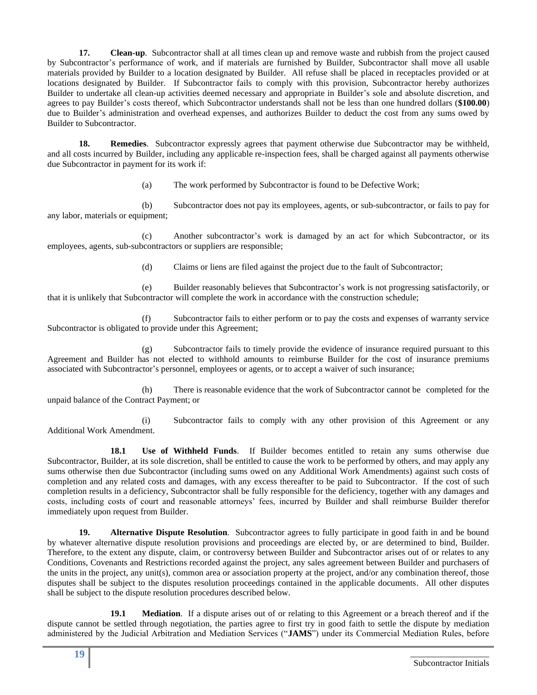**17. Clean-up**. Subcontractor shall at all times clean up and remove waste and rubbish from the project caused by Subcontractor's performance of work, and if materials are furnished by Builder, Subcontractor shall move all usable materials provided by Builder to a location designated by Builder. All refuse shall be placed in receptacles provided or at locations designated by Builder. If Subcontractor fails to comply with this provision, Subcontractor hereby authorizes Builder to undertake all clean-up activities deemed necessary and appropriate in Builder's sole and absolute discretion, and agrees to pay Builder's costs thereof, which Subcontractor understands shall not be less than one hundred dollars (**\$100.00**) due to Builder's administration and overhead expenses, and authorizes Builder to deduct the cost from any sums owed by Builder to Subcontractor.

**18. Remedies**. Subcontractor expressly agrees that payment otherwise due Subcontractor may be withheld, and all costs incurred by Builder, including any applicable re-inspection fees, shall be charged against all payments otherwise due Subcontractor in payment for its work if:

(a) The work performed by Subcontractor is found to be Defective Work;

(b) Subcontractor does not pay its employees, agents, or sub-subcontractor, or fails to pay for any labor, materials or equipment;

(c) Another subcontractor's work is damaged by an act for which Subcontractor, or its employees, agents, sub-subcontractors or suppliers are responsible;

(d) Claims or liens are filed against the project due to the fault of Subcontractor;

(e) Builder reasonably believes that Subcontractor's work is not progressing satisfactorily, or that it is unlikely that Subcontractor will complete the work in accordance with the construction schedule;

(f) Subcontractor fails to either perform or to pay the costs and expenses of warranty service Subcontractor is obligated to provide under this Agreement;

(g) Subcontractor fails to timely provide the evidence of insurance required pursuant to this Agreement and Builder has not elected to withhold amounts to reimburse Builder for the cost of insurance premiums associated with Subcontractor's personnel, employees or agents, or to accept a waiver of such insurance;

(h) There is reasonable evidence that the work of Subcontractor cannot be completed for the unpaid balance of the Contract Payment; or

(i) Subcontractor fails to comply with any other provision of this Agreement or any Additional Work Amendment.

**18.1 Use of Withheld Funds**. If Builder becomes entitled to retain any sums otherwise due Subcontractor, Builder, at its sole discretion, shall be entitled to cause the work to be performed by others, and may apply any sums otherwise then due Subcontractor (including sums owed on any Additional Work Amendments) against such costs of completion and any related costs and damages, with any excess thereafter to be paid to Subcontractor. If the cost of such completion results in a deficiency, Subcontractor shall be fully responsible for the deficiency, together with any damages and costs, including costs of court and reasonable attorneys' fees, incurred by Builder and shall reimburse Builder therefor immediately upon request from Builder.

**19. Alternative Dispute Resolution**. Subcontractor agrees to fully participate in good faith in and be bound by whatever alternative dispute resolution provisions and proceedings are elected by, or are determined to bind, Builder. Therefore, to the extent any dispute, claim, or controversy between Builder and Subcontractor arises out of or relates to any Conditions, Covenants and Restrictions recorded against the project, any sales agreement between Builder and purchasers of the units in the project, any unit(s), common area or association property at the project, and/or any combination thereof, those disputes shall be subject to the disputes resolution proceedings contained in the applicable documents. All other disputes shall be subject to the dispute resolution procedures described below.

**19.1 Mediation**. If a dispute arises out of or relating to this Agreement or a breach thereof and if the dispute cannot be settled through negotiation, the parties agree to first try in good faith to settle the dispute by mediation administered by the Judicial Arbitration and Mediation Services ("**JAMS**") under its Commercial Mediation Rules, before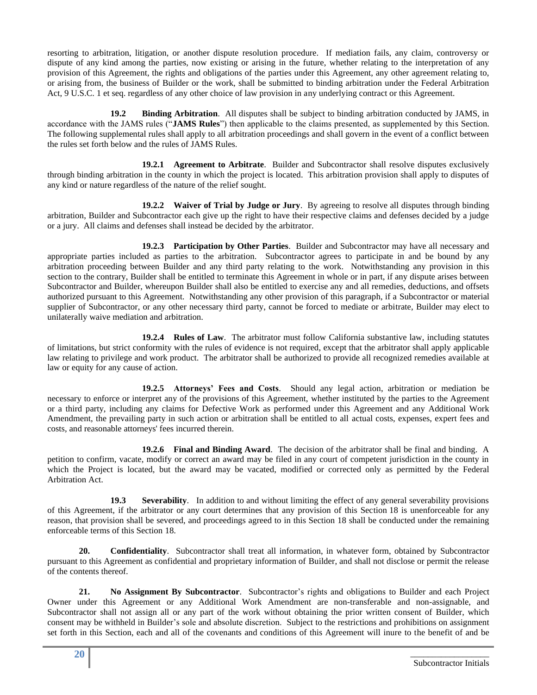resorting to arbitration, litigation, or another dispute resolution procedure. If mediation fails, any claim, controversy or dispute of any kind among the parties, now existing or arising in the future, whether relating to the interpretation of any provision of this Agreement, the rights and obligations of the parties under this Agreement, any other agreement relating to, or arising from, the business of Builder or the work, shall be submitted to binding arbitration under the Federal Arbitration Act, 9 U.S.C. 1 et seq. regardless of any other choice of law provision in any underlying contract or this Agreement.

**19.2 Binding Arbitration**. All disputes shall be subject to binding arbitration conducted by JAMS, in accordance with the JAMS rules ("**JAMS Rules**") then applicable to the claims presented, as supplemented by this Section. The following supplemental rules shall apply to all arbitration proceedings and shall govern in the event of a conflict between the rules set forth below and the rules of JAMS Rules.

**19.2.1 Agreement to Arbitrate**. Builder and Subcontractor shall resolve disputes exclusively through binding arbitration in the county in which the project is located. This arbitration provision shall apply to disputes of any kind or nature regardless of the nature of the relief sought.

**19.2.2 Waiver of Trial by Judge or Jury**. By agreeing to resolve all disputes through binding arbitration, Builder and Subcontractor each give up the right to have their respective claims and defenses decided by a judge or a jury. All claims and defenses shall instead be decided by the arbitrator.

**19.2.3 Participation by Other Parties**. Builder and Subcontractor may have all necessary and appropriate parties included as parties to the arbitration. Subcontractor agrees to participate in and be bound by any arbitration proceeding between Builder and any third party relating to the work. Notwithstanding any provision in this section to the contrary, Builder shall be entitled to terminate this Agreement in whole or in part, if any dispute arises between Subcontractor and Builder, whereupon Builder shall also be entitled to exercise any and all remedies, deductions, and offsets authorized pursuant to this Agreement. Notwithstanding any other provision of this paragraph, if a Subcontractor or material supplier of Subcontractor, or any other necessary third party, cannot be forced to mediate or arbitrate, Builder may elect to unilaterally waive mediation and arbitration.

**19.2.4 Rules of Law**. The arbitrator must follow California substantive law, including statutes of limitations, but strict conformity with the rules of evidence is not required, except that the arbitrator shall apply applicable law relating to privilege and work product. The arbitrator shall be authorized to provide all recognized remedies available at law or equity for any cause of action.

**19.2.5 Attorneys' Fees and Costs**. Should any legal action, arbitration or mediation be necessary to enforce or interpret any of the provisions of this Agreement, whether instituted by the parties to the Agreement or a third party, including any claims for Defective Work as performed under this Agreement and any Additional Work Amendment, the prevailing party in such action or arbitration shall be entitled to all actual costs, expenses, expert fees and costs, and reasonable attorneys' fees incurred therein.

**19.2.6 Final and Binding Award**. The decision of the arbitrator shall be final and binding. A petition to confirm, vacate, modify or correct an award may be filed in any court of competent jurisdiction in the county in which the Project is located, but the award may be vacated, modified or corrected only as permitted by the Federal Arbitration Act.

**19.3 Severability**. In addition to and without limiting the effect of any general severability provisions of this Agreement, if the arbitrator or any court determines that any provision of this Section 18 is unenforceable for any reason, that provision shall be severed, and proceedings agreed to in this Section 18 shall be conducted under the remaining enforceable terms of this Section 18.

**20. Confidentiality**. Subcontractor shall treat all information, in whatever form, obtained by Subcontractor pursuant to this Agreement as confidential and proprietary information of Builder, and shall not disclose or permit the release of the contents thereof.

**21. No Assignment By Subcontractor**. Subcontractor's rights and obligations to Builder and each Project Owner under this Agreement or any Additional Work Amendment are non-transferable and non-assignable, and Subcontractor shall not assign all or any part of the work without obtaining the prior written consent of Builder, which consent may be withheld in Builder's sole and absolute discretion. Subject to the restrictions and prohibitions on assignment set forth in this Section, each and all of the covenants and conditions of this Agreement will inure to the benefit of and be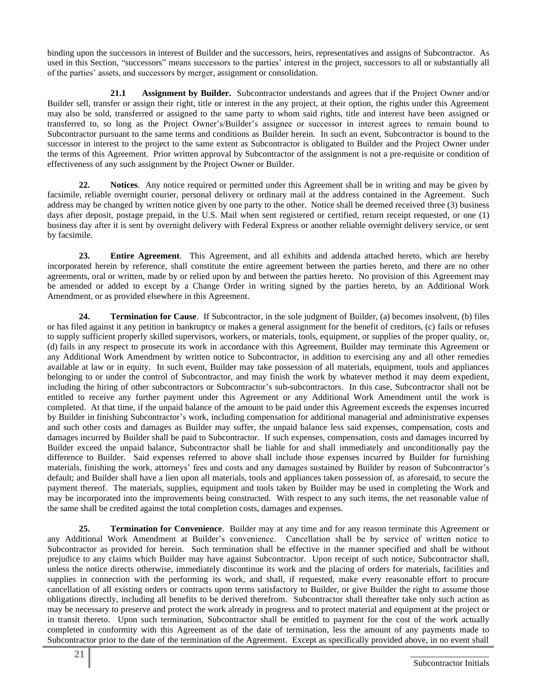binding upon the successors in interest of Builder and the successors, heirs, representatives and assigns of Subcontractor. As used in this Section, "successors" means successors to the parties' interest in the project, successors to all or substantially all of the parties' assets, and successors by merger, assignment or consolidation.

**21.1 Assignment by Builder.** Subcontractor understands and agrees that if the Project Owner and/or Builder sell, transfer or assign their right, title or interest in the any project, at their option, the rights under this Agreement may also be sold, transferred or assigned to the same party to whom said rights, title and interest have been assigned or transferred to, so long as the Project Owner's/Builder's assignee or successor in interest agrees to remain bound to Subcontractor pursuant to the same terms and conditions as Builder herein. In such an event, Subcontractor is bound to the successor in interest to the project to the same extent as Subcontractor is obligated to Builder and the Project Owner under the terms of this Agreement. Prior written approval by Subcontractor of the assignment is not a pre-requisite or condition of effectiveness of any such assignment by the Project Owner or Builder.

**22. Notices**. Any notice required or permitted under this Agreement shall be in writing and may be given by facsimile, reliable overnight courier, personal delivery or ordinary mail at the address contained in the Agreement. Such address may be changed by written notice given by one party to the other. Notice shall be deemed received three (3) business days after deposit, postage prepaid, in the U.S. Mail when sent registered or certified, return receipt requested, or one (1) business day after it is sent by overnight delivery with Federal Express or another reliable overnight delivery service, or sent by facsimile.

**23. Entire Agreement**. This Agreement, and all exhibits and addenda attached hereto, which are hereby incorporated herein by reference, shall constitute the entire agreement between the parties hereto, and there are no other agreements, oral or written, made by or relied upon by and between the parties hereto. No provision of this Agreement may be amended or added to except by a Change Order in writing signed by the parties hereto, by an Additional Work Amendment, or as provided elsewhere in this Agreement.

**24. Termination for Cause**. If Subcontractor, in the sole judgment of Builder, (a) becomes insolvent, (b) files or has filed against it any petition in bankruptcy or makes a general assignment for the benefit of creditors, (c) fails or refuses to supply sufficient properly skilled supervisors, workers, or materials, tools, equipment, or supplies of the proper quality, or, (d) fails in any respect to prosecute its work in accordance with this Agreement, Builder may terminate this Agreement or any Additional Work Amendment by written notice to Subcontractor, in addition to exercising any and all other remedies available at law or in equity. In such event, Builder may take possession of all materials, equipment, tools and appliances belonging to or under the control of Subcontractor, and may finish the work by whatever method it may deem expedient, including the hiring of other subcontractors or Subcontractor's sub-subcontractors. In this case, Subcontractor shall not be entitled to receive any further payment under this Agreement or any Additional Work Amendment until the work is completed. At that time, if the unpaid balance of the amount to be paid under this Agreement exceeds the expenses incurred by Builder in finishing Subcontractor's work, including compensation for additional managerial and administrative expenses and such other costs and damages as Builder may suffer, the unpaid balance less said expenses, compensation, costs and damages incurred by Builder shall be paid to Subcontractor. If such expenses, compensation, costs and damages incurred by Builder exceed the unpaid balance, Subcontractor shall be liable for and shall immediately and unconditionally pay the difference to Builder. Said expenses referred to above shall include those expenses incurred by Builder for furnishing materials, finishing the work, attorneys' fees and costs and any damages sustained by Builder by reason of Subcontractor's default; and Builder shall have a lien upon all materials, tools and appliances taken possession of, as aforesaid, to secure the payment thereof. The materials, supplies, equipment and tools taken by Builder may be used in completing the Work and may be incorporated into the improvements being constructed. With respect to any such items, the net reasonable value of the same shall be credited against the total completion costs, damages and expenses.

**25. Termination for Convenience**. Builder may at any time and for any reason terminate this Agreement or any Additional Work Amendment at Builder's convenience. Cancellation shall be by service of written notice to Subcontractor as provided for herein. Such termination shall be effective in the manner specified and shall be without prejudice to any claims which Builder may have against Subcontractor. Upon receipt of such notice, Subcontractor shall, unless the notice directs otherwise, immediately discontinue its work and the placing of orders for materials, facilities and supplies in connection with the performing its work, and shall, if requested, make every reasonable effort to procure cancellation of all existing orders or contracts upon terms satisfactory to Builder, or give Builder the right to assume those obligations directly, including all benefits to be derived therefrom. Subcontractor shall thereafter take only such action as may be necessary to preserve and protect the work already in progress and to protect material and equipment at the project or in transit thereto. Upon such termination, Subcontractor shall be entitled to payment for the cost of the work actually completed in conformity with this Agreement as of the date of termination, less the amount of any payments made to Subcontractor prior to the date of the termination of the Agreement. Except as specifically provided above, in no event shall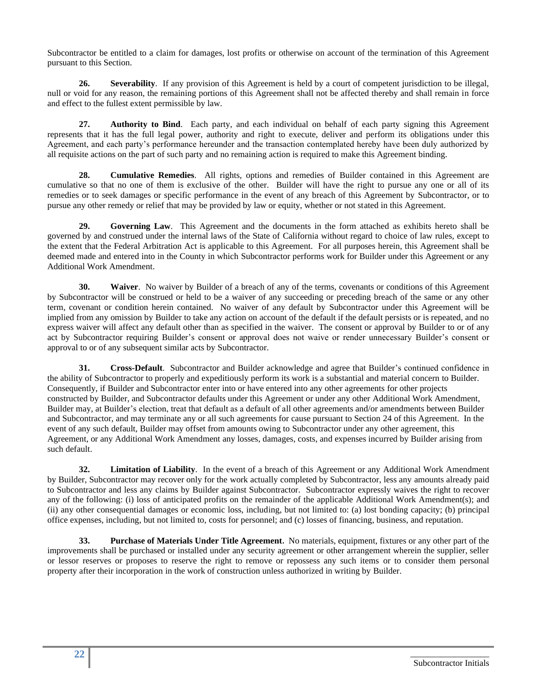Subcontractor be entitled to a claim for damages, lost profits or otherwise on account of the termination of this Agreement pursuant to this Section.

**26. Severability**. If any provision of this Agreement is held by a court of competent jurisdiction to be illegal, null or void for any reason, the remaining portions of this Agreement shall not be affected thereby and shall remain in force and effect to the fullest extent permissible by law.

**27. Authority to Bind**. Each party, and each individual on behalf of each party signing this Agreement represents that it has the full legal power, authority and right to execute, deliver and perform its obligations under this Agreement, and each party's performance hereunder and the transaction contemplated hereby have been duly authorized by all requisite actions on the part of such party and no remaining action is required to make this Agreement binding.

**28. Cumulative Remedies**. All rights, options and remedies of Builder contained in this Agreement are cumulative so that no one of them is exclusive of the other. Builder will have the right to pursue any one or all of its remedies or to seek damages or specific performance in the event of any breach of this Agreement by Subcontractor, or to pursue any other remedy or relief that may be provided by law or equity, whether or not stated in this Agreement.

**29. Governing Law**. This Agreement and the documents in the form attached as exhibits hereto shall be governed by and construed under the internal laws of the State of California without regard to choice of law rules, except to the extent that the Federal Arbitration Act is applicable to this Agreement. For all purposes herein, this Agreement shall be deemed made and entered into in the County in which Subcontractor performs work for Builder under this Agreement or any Additional Work Amendment.

**30. Waiver**. No waiver by Builder of a breach of any of the terms, covenants or conditions of this Agreement by Subcontractor will be construed or held to be a waiver of any succeeding or preceding breach of the same or any other term, covenant or condition herein contained. No waiver of any default by Subcontractor under this Agreement will be implied from any omission by Builder to take any action on account of the default if the default persists or is repeated, and no express waiver will affect any default other than as specified in the waiver. The consent or approval by Builder to or of any act by Subcontractor requiring Builder's consent or approval does not waive or render unnecessary Builder's consent or approval to or of any subsequent similar acts by Subcontractor.

**31. Cross-Default**. Subcontractor and Builder acknowledge and agree that Builder's continued confidence in the ability of Subcontractor to properly and expeditiously perform its work is a substantial and material concern to Builder. Consequently, if Builder and Subcontractor enter into or have entered into any other agreements for other projects constructed by Builder, and Subcontractor defaults under this Agreement or under any other Additional Work Amendment, Builder may, at Builder's election, treat that default as a default of all other agreements and/or amendments between Builder and Subcontractor, and may terminate any or all such agreements for cause pursuant to Section 24 of this Agreement. In the event of any such default, Builder may offset from amounts owing to Subcontractor under any other agreement, this Agreement, or any Additional Work Amendment any losses, damages, costs, and expenses incurred by Builder arising from such default.

**32. Limitation of Liability**. In the event of a breach of this Agreement or any Additional Work Amendment by Builder, Subcontractor may recover only for the work actually completed by Subcontractor, less any amounts already paid to Subcontractor and less any claims by Builder against Subcontractor. Subcontractor expressly waives the right to recover any of the following: (i) loss of anticipated profits on the remainder of the applicable Additional Work Amendment(s); and (ii) any other consequential damages or economic loss, including, but not limited to: (a) lost bonding capacity; (b) principal office expenses, including, but not limited to, costs for personnel; and (c) losses of financing, business, and reputation.

**33. Purchase of Materials Under Title Agreement.** No materials, equipment, fixtures or any other part of the improvements shall be purchased or installed under any security agreement or other arrangement wherein the supplier, seller or lessor reserves or proposes to reserve the right to remove or repossess any such items or to consider them personal property after their incorporation in the work of construction unless authorized in writing by Builder.